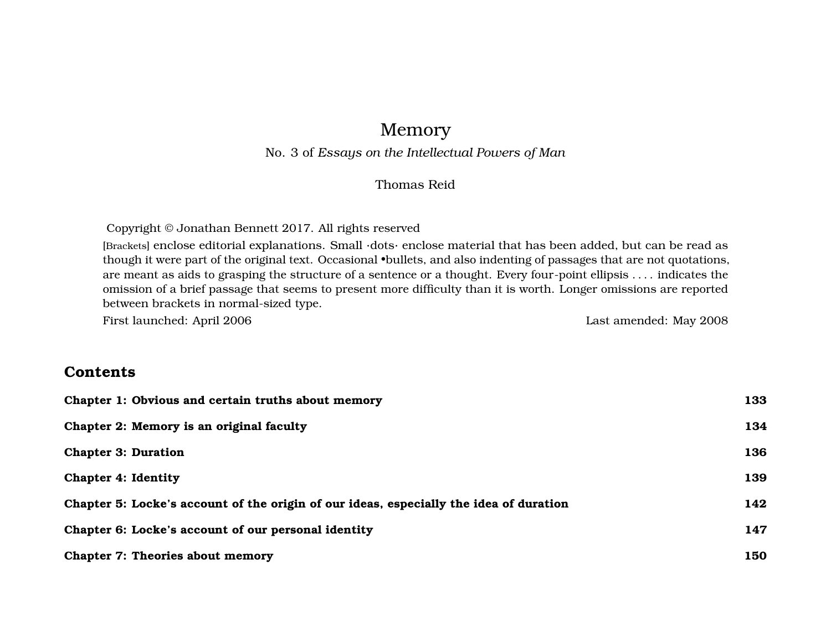# Memory

#### No. 3 of *Essays on the Intellectual Powers of Man*

#### Thomas Reid

Copyright © Jonathan Bennett 2017. All rights reserved

[Brackets] enclose editorial explanations. Small ·dots· enclose material that has been added, but can be read as though it were part of the original text. Occasional •bullets, and also indenting of passages that are not quotations, are meant as aids to grasping the structure of a sentence or a thought. Every four-point ellipsis . . . . indicates the omission of a brief passage that seems to present more difficulty than it is worth. Longer omissions are reported between brackets in normal-sized type.

First launched: April 2006 Last amended: May 2008

#### **Contents**

| Chapter 1: Obvious and certain truths about memory                                     | 133 |
|----------------------------------------------------------------------------------------|-----|
| Chapter 2: Memory is an original faculty                                               | 134 |
| <b>Chapter 3: Duration</b>                                                             | 136 |
| <b>Chapter 4: Identity</b>                                                             | 139 |
| Chapter 5: Locke's account of the origin of our ideas, especially the idea of duration | 142 |
| Chapter 6: Locke's account of our personal identity                                    | 147 |
| <b>Chapter 7: Theories about memory</b>                                                | 150 |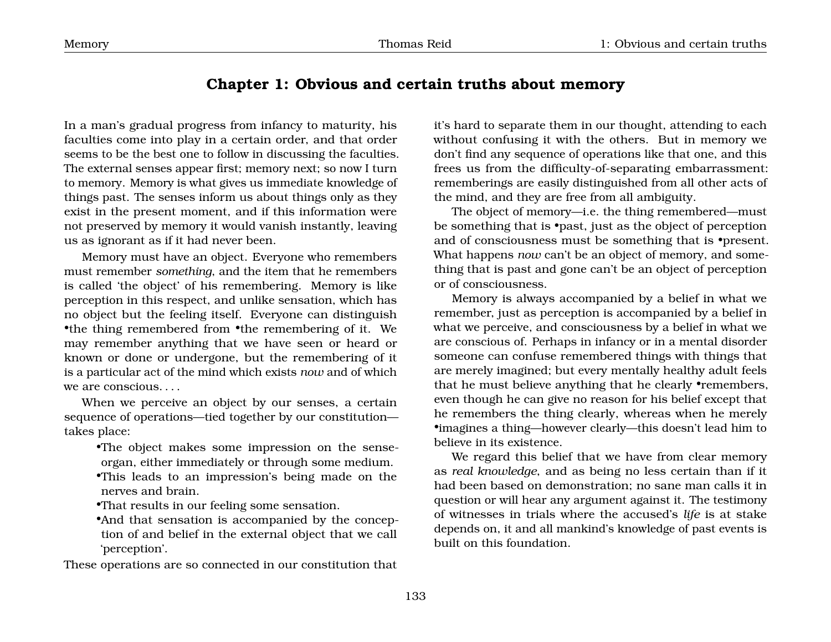### <span id="page-1-0"></span>**Chapter 1: Obvious and certain truths about memory**

In a man's gradual progress from infancy to maturity, his faculties come into play in a certain order, and that order seems to be the best one to follow in discussing the faculties. The external senses appear first; memory next; so now I turn to memory. Memory is what gives us immediate knowledge of things past. The senses inform us about things only as they exist in the present moment, and if this information were not preserved by memory it would vanish instantly, leaving us as ignorant as if it had never been.

Memory must have an object. Everyone who remembers must remember *something*, and the item that he remembers is called 'the object' of his remembering. Memory is like perception in this respect, and unlike sensation, which has no object but the feeling itself. Everyone can distinguish •the thing remembered from •the remembering of it. We may remember anything that we have seen or heard or known or done or undergone, but the remembering of it is a particular act of the mind which exists *now* and of which we are conscious. . . .

When we perceive an object by our senses, a certain sequence of operations—tied together by our constitution takes place:

•The object makes some impression on the senseorgan, either immediately or through some medium.

•This leads to an impression's being made on the nerves and brain.

•That results in our feeling some sensation.

•And that sensation is accompanied by the conception of and belief in the external object that we call 'perception'.

These operations are so connected in our constitution that

it's hard to separate them in our thought, attending to each without confusing it with the others. But in memory we don't find any sequence of operations like that one, and this frees us from the difficulty-of-separating embarrassment: rememberings are easily distinguished from all other acts of the mind, and they are free from all ambiguity.

The object of memory—i.e. the thing remembered—must be something that is •past, just as the object of perception and of consciousness must be something that is •present. What happens *now* can't be an object of memory, and something that is past and gone can't be an object of perception or of consciousness.

Memory is always accompanied by a belief in what we remember, just as perception is accompanied by a belief in what we perceive, and consciousness by a belief in what we are conscious of. Perhaps in infancy or in a mental disorder someone can confuse remembered things with things that are merely imagined; but every mentally healthy adult feels that he must believe anything that he clearly •remembers, even though he can give no reason for his belief except that he remembers the thing clearly, whereas when he merely •imagines a thing—however clearly—this doesn't lead him to believe in its existence.

We regard this belief that we have from clear memory as *real knowledge*, and as being no less certain than if it had been based on demonstration; no sane man calls it in question or will hear any argument against it. The testimony of witnesses in trials where the accused's *life* is at stake depends on, it and all mankind's knowledge of past events is built on this foundation.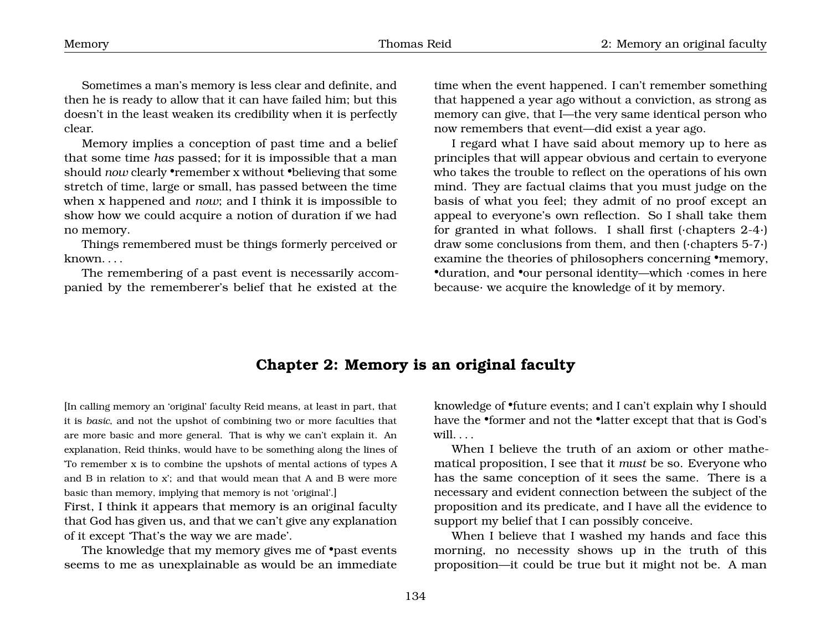Sometimes a man's memory is less clear and definite, and then he is ready to allow that it can have failed him; but this doesn't in the least weaken its credibility when it is perfectly clear.

Memory implies a conception of past time and a belief that some time *has* passed; for it is impossible that a man should *now* clearly •remember x without •believing that some stretch of time, large or small, has passed between the time when x happened and *now*; and I think it is impossible to show how we could acquire a notion of duration if we had no memory.

Things remembered must be things formerly perceived or known. . . .

The remembering of a past event is necessarily accompanied by the rememberer's belief that he existed at the

time when the event happened. I can't remember something that happened a year ago without a conviction, as strong as memory can give, that I—the very same identical person who now remembers that event—did exist a year ago.

I regard what I have said about memory up to here as principles that will appear obvious and certain to everyone who takes the trouble to reflect on the operations of his own mind. They are factual claims that you must judge on the basis of what you feel; they admit of no proof except an appeal to everyone's own reflection. So I shall take them for granted in what follows. I shall first (·chapters 2-4·) draw some conclusions from them, and then (·chapters 5-7·) examine the theories of philosophers concerning •memory, •duration, and •our personal identity—which ·comes in here because· we acquire the knowledge of it by memory.

#### <span id="page-2-0"></span>**Chapter 2: Memory is an original faculty**

[In calling memory an 'original' faculty Reid means, at least in part, that it is *basic*, and not the upshot of combining two or more faculties that are more basic and more general. That is why we can't explain it. An explanation, Reid thinks, would have to be something along the lines of 'To remember x is to combine the upshots of mental actions of types A and B in relation to x'; and that would mean that A and B were more basic than memory, implying that memory is not 'original'.]

First, I think it appears that memory is an original faculty that God has given us, and that we can't give any explanation of it except 'That's the way we are made'.

The knowledge that my memory gives me of •past events seems to me as unexplainable as would be an immediate knowledge of •future events; and I can't explain why I should have the •former and not the •latter except that that is God's will.  $\ldots$ 

When I believe the truth of an axiom or other mathematical proposition, I see that it *must* be so. Everyone who has the same conception of it sees the same. There is a necessary and evident connection between the subject of the proposition and its predicate, and I have all the evidence to support my belief that I can possibly conceive.

When I believe that I washed my hands and face this morning, no necessity shows up in the truth of this proposition—it could be true but it might not be. A man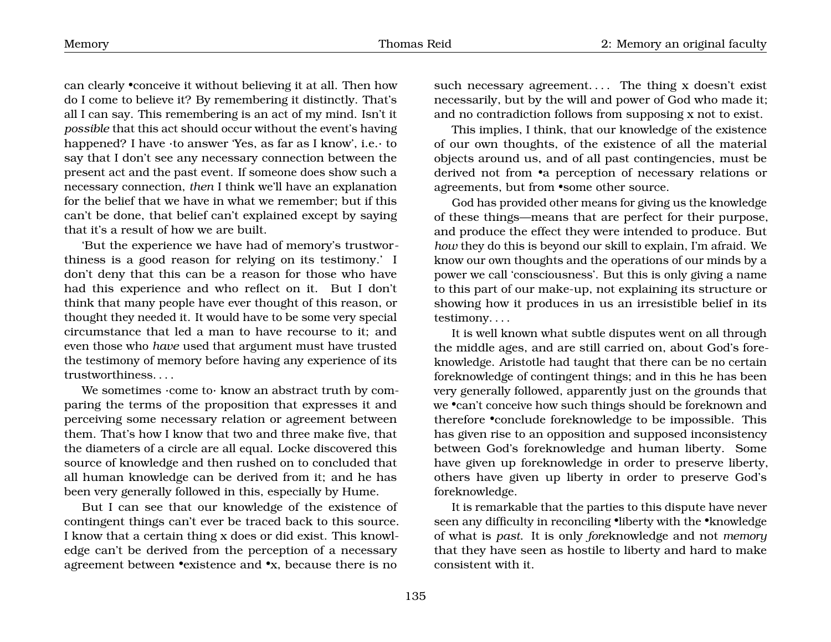can clearly •conceive it without believing it at all. Then how do I come to believe it? By remembering it distinctly. That's all I can say. This remembering is an act of my mind. Isn't it *possible* that this act should occur without the event's having happened? I have ·to answer 'Yes, as far as I know', i.e.· to say that I don't see any necessary connection between the present act and the past event. If someone does show such a necessary connection, *then* I think we'll have an explanation for the belief that we have in what we remember; but if this can't be done, that belief can't explained except by saying that it's a result of how we are built.

'But the experience we have had of memory's trustworthiness is a good reason for relying on its testimony.' I don't deny that this can be a reason for those who have had this experience and who reflect on it. But I don't think that many people have ever thought of this reason, or thought they needed it. It would have to be some very special circumstance that led a man to have recourse to it; and even those who *have* used that argument must have trusted the testimony of memory before having any experience of its trustworthiness. . . .

We sometimes  $\cdot$ come to $\cdot$  know an abstract truth by comparing the terms of the proposition that expresses it and perceiving some necessary relation or agreement between them. That's how I know that two and three make five, that the diameters of a circle are all equal. Locke discovered this source of knowledge and then rushed on to concluded that all human knowledge can be derived from it; and he has been very generally followed in this, especially by Hume.

But I can see that our knowledge of the existence of contingent things can't ever be traced back to this source. I know that a certain thing x does or did exist. This knowledge can't be derived from the perception of a necessary agreement between •existence and •x, because there is no

such necessary agreement.... The thing  $x$  doesn't exist necessarily, but by the will and power of God who made it; and no contradiction follows from supposing x not to exist.

This implies, I think, that our knowledge of the existence of our own thoughts, of the existence of all the material objects around us, and of all past contingencies, must be derived not from •a perception of necessary relations or agreements, but from •some other source.

God has provided other means for giving us the knowledge of these things—means that are perfect for their purpose, and produce the effect they were intended to produce. But *how* they do this is beyond our skill to explain, I'm afraid. We know our own thoughts and the operations of our minds by a power we call 'consciousness'. But this is only giving a name to this part of our make-up, not explaining its structure or showing how it produces in us an irresistible belief in its testimony. . . .

It is well known what subtle disputes went on all through the middle ages, and are still carried on, about God's foreknowledge. Aristotle had taught that there can be no certain foreknowledge of contingent things; and in this he has been very generally followed, apparently just on the grounds that we •can't conceive how such things should be foreknown and therefore •conclude foreknowledge to be impossible. This has given rise to an opposition and supposed inconsistency between God's foreknowledge and human liberty. Some have given up foreknowledge in order to preserve liberty, others have given up liberty in order to preserve God's foreknowledge.

It is remarkable that the parties to this dispute have never seen any difficulty in reconciling •liberty with the •knowledge of what is *past*. It is only *fore*knowledge and not *memory* that they have seen as hostile to liberty and hard to make consistent with it.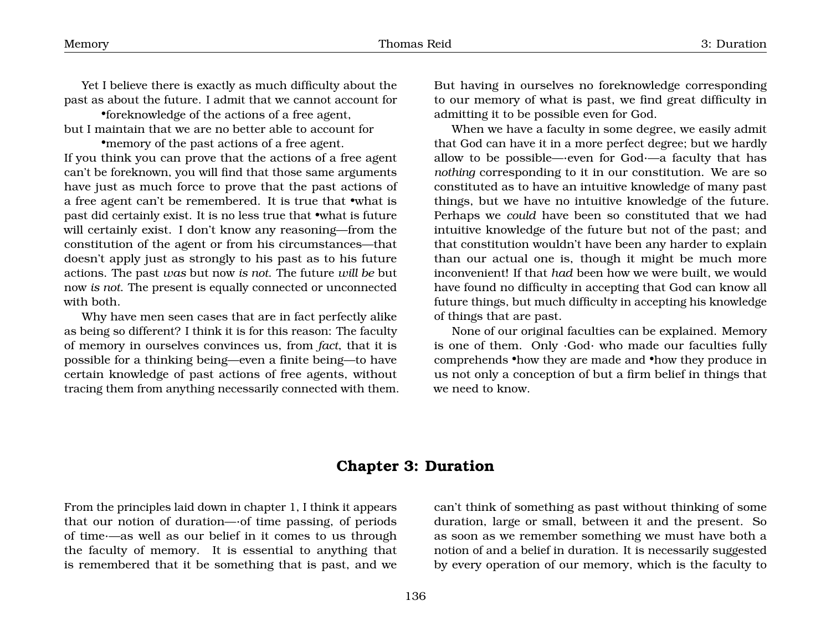Yet I believe there is exactly as much difficulty about the past as about the future. I admit that we cannot account for

•foreknowledge of the actions of a free agent, but I maintain that we are no better able to account for

•memory of the past actions of a free agent. If you think you can prove that the actions of a free agent can't be foreknown, you will find that those same arguments have just as much force to prove that the past actions of a free agent can't be remembered. It is true that •what is past did certainly exist. It is no less true that •what is future will certainly exist. I don't know any reasoning—from the constitution of the agent or from his circumstances—that doesn't apply just as strongly to his past as to his future actions. The past *was* but now *is not*. The future *will be* but now *is not*. The present is equally connected or unconnected with both.

Why have men seen cases that are in fact perfectly alike as being so different? I think it is for this reason: The faculty of memory in ourselves convinces us, from *fact*, that it is possible for a thinking being—even a finite being—to have certain knowledge of past actions of free agents, without tracing them from anything necessarily connected with them. But having in ourselves no foreknowledge corresponding to our memory of what is past, we find great difficulty in admitting it to be possible even for God.

When we have a faculty in some degree, we easily admit that God can have it in a more perfect degree; but we hardly allow to be possible—·even for God·—a faculty that has *nothing* corresponding to it in our constitution. We are so constituted as to have an intuitive knowledge of many past things, but we have no intuitive knowledge of the future. Perhaps we *could* have been so constituted that we had intuitive knowledge of the future but not of the past; and that constitution wouldn't have been any harder to explain than our actual one is, though it might be much more inconvenient! If that *had* been how we were built, we would have found no difficulty in accepting that God can know all future things, but much difficulty in accepting his knowledge of things that are past.

None of our original faculties can be explained. Memory is one of them. Only ·God· who made our faculties fully comprehends •how they are made and •how they produce in us not only a conception of but a firm belief in things that we need to know.

### <span id="page-4-0"></span>**Chapter 3: Duration**

From the principles laid down in chapter 1, I think it appears that our notion of duration—·of time passing, of periods of time·—as well as our belief in it comes to us through the faculty of memory. It is essential to anything that is remembered that it be something that is past, and we

can't think of something as past without thinking of some duration, large or small, between it and the present. So as soon as we remember something we must have both a notion of and a belief in duration. It is necessarily suggested by every operation of our memory, which is the faculty to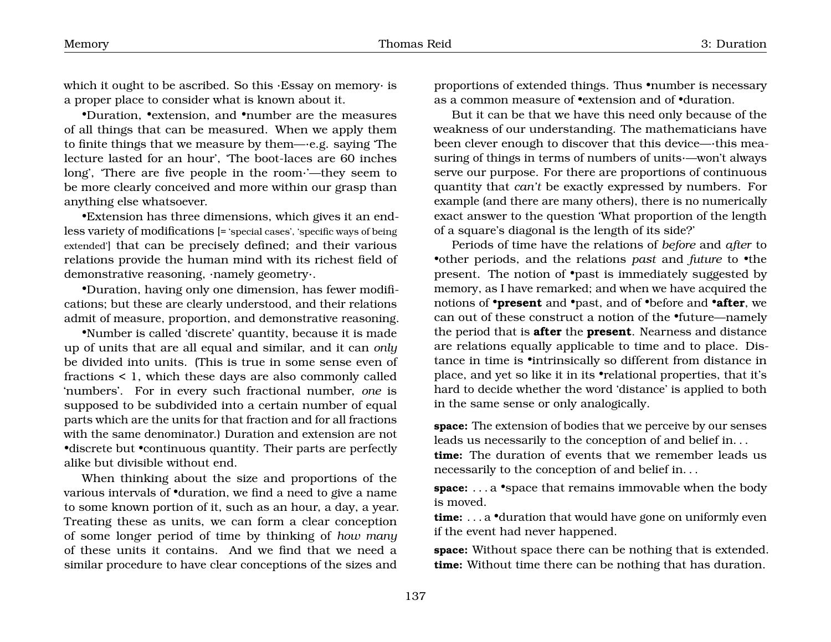which it ought to be ascribed. So this ·Essay on memory· is a proper place to consider what is known about it.

•Duration, •extension, and •number are the measures of all things that can be measured. When we apply them to finite things that we measure by them—·e.g. saying 'The lecture lasted for an hour', 'The boot-laces are 60 inches long', 'There are five people in the room·'—they seem to be more clearly conceived and more within our grasp than anything else whatsoever.

•Extension has three dimensions, which gives it an endless variety of modifications [= 'special cases', 'specific ways of being extended'] that can be precisely defined; and their various relations provide the human mind with its richest field of demonstrative reasoning, ·namely geometry·.

•Duration, having only one dimension, has fewer modifications; but these are clearly understood, and their relations admit of measure, proportion, and demonstrative reasoning.

•Number is called 'discrete' quantity, because it is made up of units that are all equal and similar, and it can *only* be divided into units. (This is true in some sense even of fractions < 1, which these days are also commonly called 'numbers'. For in every such fractional number, *one* is supposed to be subdivided into a certain number of equal parts which are the units for that fraction and for all fractions with the same denominator.) Duration and extension are not •discrete but •continuous quantity. Their parts are perfectly alike but divisible without end.

When thinking about the size and proportions of the various intervals of •duration, we find a need to give a name to some known portion of it, such as an hour, a day, a year. Treating these as units, we can form a clear conception of some longer period of time by thinking of *how many* of these units it contains. And we find that we need a similar procedure to have clear conceptions of the sizes and

proportions of extended things. Thus •number is necessary as a common measure of •extension and of •duration.

But it can be that we have this need only because of the weakness of our understanding. The mathematicians have been clever enough to discover that this device—·this measuring of things in terms of numbers of units·—won't always serve our purpose. For there are proportions of continuous quantity that *can't* be exactly expressed by numbers. For example (and there are many others), there is no numerically exact answer to the question 'What proportion of the length of a square's diagonal is the length of its side?'

Periods of time have the relations of *before* and *after* to •other periods, and the relations *past* and *future* to •the present. The notion of •past is immediately suggested by memory, as I have remarked; and when we have acquired the notions of •**present** and •past, and of •before and •**after**, we can out of these construct a notion of the •future—namely the period that is **after** the **present**. Nearness and distance are relations equally applicable to time and to place. Distance in time is •intrinsically so different from distance in place, and yet so like it in its •relational properties, that it's hard to decide whether the word 'distance' is applied to both in the same sense or only analogically.

**space:** The extension of bodies that we perceive by our senses leads us necessarily to the conception of and belief in. . .

**time:** The duration of events that we remember leads us necessarily to the conception of and belief in. . .

**space:** . . . a •space that remains immovable when the body is moved.

**time:** . . . a •duration that would have gone on uniformly even if the event had never happened.

**space:** Without space there can be nothing that is extended. **time:** Without time there can be nothing that has duration.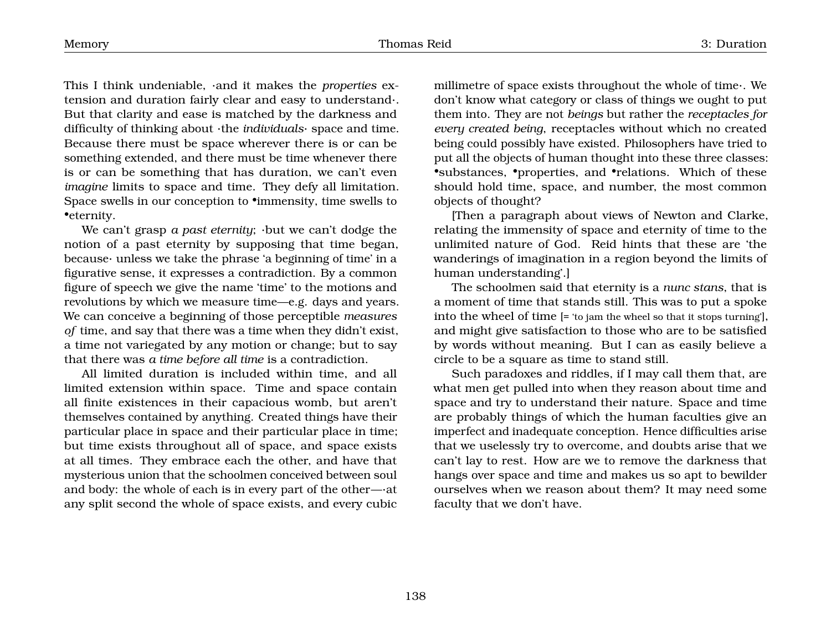This I think undeniable, ·and it makes the *properties* extension and duration fairly clear and easy to understand·. But that clarity and ease is matched by the darkness and difficulty of thinking about ·the *individuals*· space and time. Because there must be space wherever there is or can be something extended, and there must be time whenever there is or can be something that has duration, we can't even *imagine* limits to space and time. They defy all limitation. Space swells in our conception to •immensity, time swells to •eternity.

We can't grasp *a past eternity*; ·but we can't dodge the notion of a past eternity by supposing that time began, because· unless we take the phrase 'a beginning of time' in a figurative sense, it expresses a contradiction. By a common figure of speech we give the name 'time' to the motions and revolutions by which we measure time—e.g. days and years. We can conceive a beginning of those perceptible *measures of* time, and say that there was a time when they didn't exist, a time not variegated by any motion or change; but to say that there was *a time before all time* is a contradiction.

All limited duration is included within time, and all limited extension within space. Time and space contain all finite existences in their capacious womb, but aren't themselves contained by anything. Created things have their particular place in space and their particular place in time; but time exists throughout all of space, and space exists at all times. They embrace each the other, and have that mysterious union that the schoolmen conceived between soul and body: the whole of each is in every part of the other—·at any split second the whole of space exists, and every cubic millimetre of space exists throughout the whole of time·. We don't know what category or class of things we ought to put them into. They are not *beings* but rather the *receptacles for every created being*, receptacles without which no created being could possibly have existed. Philosophers have tried to put all the objects of human thought into these three classes: •substances, •properties, and •relations. Which of these should hold time, space, and number, the most common objects of thought?

[Then a paragraph about views of Newton and Clarke, relating the immensity of space and eternity of time to the unlimited nature of God. Reid hints that these are 'the wanderings of imagination in a region beyond the limits of human understanding'.]

The schoolmen said that eternity is a *nunc stans*, that is a moment of time that stands still. This was to put a spoke into the wheel of time [= 'to jam the wheel so that it stops turning'], and might give satisfaction to those who are to be satisfied by words without meaning. But I can as easily believe a circle to be a square as time to stand still.

Such paradoxes and riddles, if I may call them that, are what men get pulled into when they reason about time and space and try to understand their nature. Space and time are probably things of which the human faculties give an imperfect and inadequate conception. Hence difficulties arise that we uselessly try to overcome, and doubts arise that we can't lay to rest. How are we to remove the darkness that hangs over space and time and makes us so apt to bewilder ourselves when we reason about them? It may need some faculty that we don't have.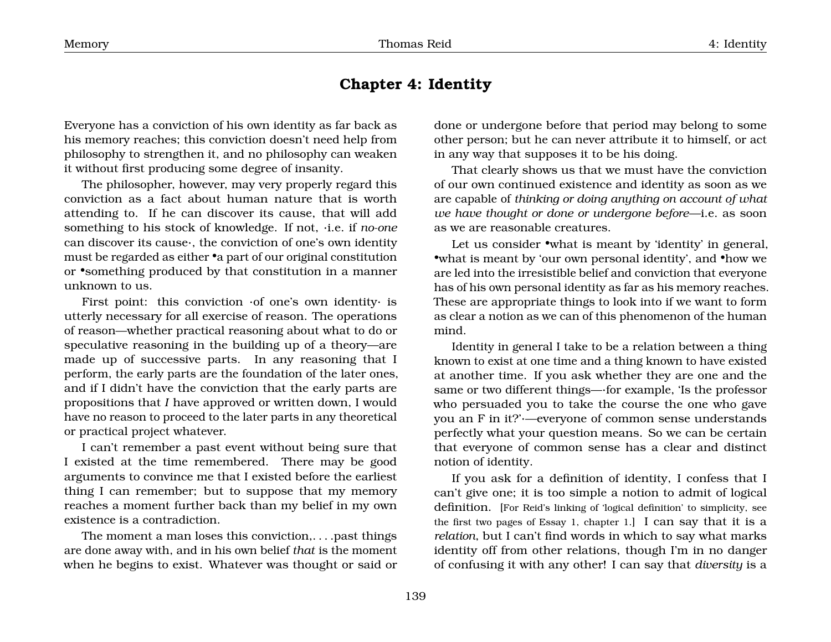## <span id="page-7-0"></span>**Chapter 4: Identity**

Everyone has a conviction of his own identity as far back as his memory reaches; this conviction doesn't need help from philosophy to strengthen it, and no philosophy can weaken it without first producing some degree of insanity.

The philosopher, however, may very properly regard this conviction as a fact about human nature that is worth attending to. If he can discover its cause, that will add something to his stock of knowledge. If not, ·i.e. if *no-one* can discover its cause·, the conviction of one's own identity must be regarded as either •a part of our original constitution or •something produced by that constitution in a manner unknown to us.

First point: this conviction ·of one's own identity· is utterly necessary for all exercise of reason. The operations of reason—whether practical reasoning about what to do or speculative reasoning in the building up of a theory—are made up of successive parts. In any reasoning that I perform, the early parts are the foundation of the later ones, and if I didn't have the conviction that the early parts are propositions that *I* have approved or written down, I would have no reason to proceed to the later parts in any theoretical or practical project whatever.

I can't remember a past event without being sure that I existed at the time remembered. There may be good arguments to convince me that I existed before the earliest thing I can remember; but to suppose that my memory reaches a moment further back than my belief in my own existence is a contradiction.

The moment a man loses this conviction,. . . .past things are done away with, and in his own belief *that* is the moment when he begins to exist. Whatever was thought or said or

done or undergone before that period may belong to some other person; but he can never attribute it to himself, or act in any way that supposes it to be his doing.

That clearly shows us that we must have the conviction of our own continued existence and identity as soon as we are capable of *thinking or doing anything on account of what we have thought or done or undergone before*—i.e. as soon as we are reasonable creatures.

Let us consider •what is meant by 'identity' in general, •what is meant by 'our own personal identity', and •how we are led into the irresistible belief and conviction that everyone has of his own personal identity as far as his memory reaches. These are appropriate things to look into if we want to form as clear a notion as we can of this phenomenon of the human mind.

Identity in general I take to be a relation between a thing known to exist at one time and a thing known to have existed at another time. If you ask whether they are one and the same or two different things—·for example, 'Is the professor who persuaded you to take the course the one who gave you an F in it?'·—everyone of common sense understands perfectly what your question means. So we can be certain that everyone of common sense has a clear and distinct notion of identity.

If you ask for a definition of identity, I confess that I can't give one; it is too simple a notion to admit of logical definition. [For Reid's linking of 'logical definition' to simplicity, see the first two pages of Essay 1, chapter 1.] I can say that it is a *relation*, but I can't find words in which to say what marks identity off from other relations, though I'm in no danger of confusing it with any other! I can say that *diversity* is a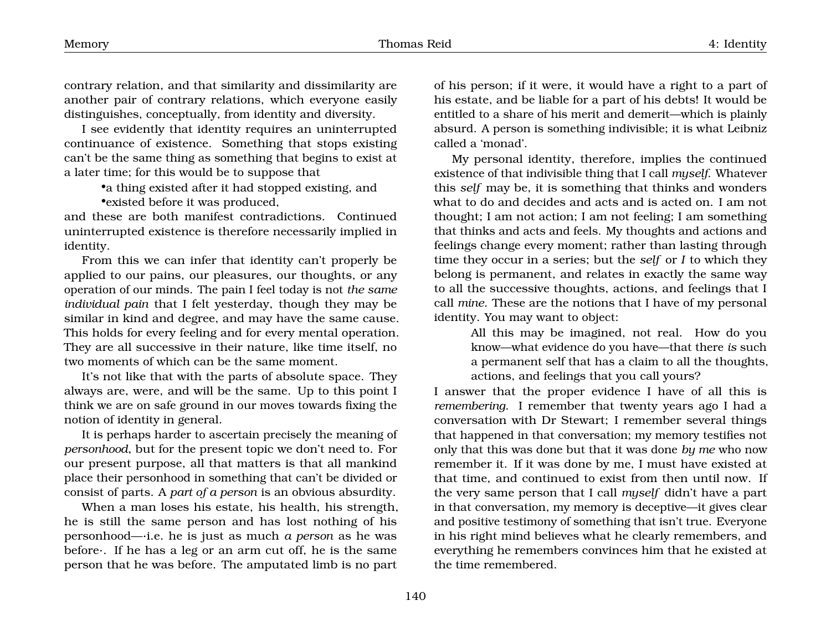contrary relation, and that similarity and dissimilarity are another pair of contrary relations, which everyone easily distinguishes, conceptually, from identity and diversity.

I see evidently that identity requires an uninterrupted continuance of existence. Something that stops existing can't be the same thing as something that begins to exist at a later time; for this would be to suppose that

> •a thing existed after it had stopped existing, and •existed before it was produced,

and these are both manifest contradictions. Continued uninterrupted existence is therefore necessarily implied in identity.

From this we can infer that identity can't properly be applied to our pains, our pleasures, our thoughts, or any operation of our minds. The pain I feel today is not *the same individual pain* that I felt yesterday, though they may be similar in kind and degree, and may have the same cause. This holds for every feeling and for every mental operation. They are all successive in their nature, like time itself, no two moments of which can be the same moment.

It's not like that with the parts of absolute space. They always are, were, and will be the same. Up to this point I think we are on safe ground in our moves towards fixing the notion of identity in general.

It is perhaps harder to ascertain precisely the meaning of *personhood*, but for the present topic we don't need to. For our present purpose, all that matters is that all mankind place their personhood in something that can't be divided or consist of parts. A *part of a person* is an obvious absurdity.

When a man loses his estate, his health, his strength, he is still the same person and has lost nothing of his personhood—·i.e. he is just as much *a person* as he was before·. If he has a leg or an arm cut off, he is the same person that he was before. The amputated limb is no part of his person; if it were, it would have a right to a part of his estate, and be liable for a part of his debts! It would be entitled to a share of his merit and demerit—which is plainly absurd. A person is something indivisible; it is what Leibniz called a 'monad'.

My personal identity, therefore, implies the continued existence of that indivisible thing that I call *myself*. Whatever this *self* may be, it is something that thinks and wonders what to do and decides and acts and is acted on. I am not thought; I am not action; I am not feeling; I am something that thinks and acts and feels. My thoughts and actions and feelings change every moment; rather than lasting through time they occur in a series; but the *self* or *I* to which they belong is permanent, and relates in exactly the same way to all the successive thoughts, actions, and feelings that I call *mine*. These are the notions that I have of my personal identity. You may want to object:

> All this may be imagined, not real. How do you know—what evidence do you have—that there *is* such a permanent self that has a claim to all the thoughts, actions, and feelings that you call yours?

I answer that the proper evidence I have of all this is *remembering*. I remember that twenty years ago I had a conversation with Dr Stewart; I remember several things that happened in that conversation; my memory testifies not only that this was done but that it was done *by me* who now remember it. If it was done by me, I must have existed at that time, and continued to exist from then until now. If the very same person that I call *myself* didn't have a part in that conversation, my memory is deceptive—it gives clear and positive testimony of something that isn't true. Everyone in his right mind believes what he clearly remembers, and everything he remembers convinces him that he existed at the time remembered.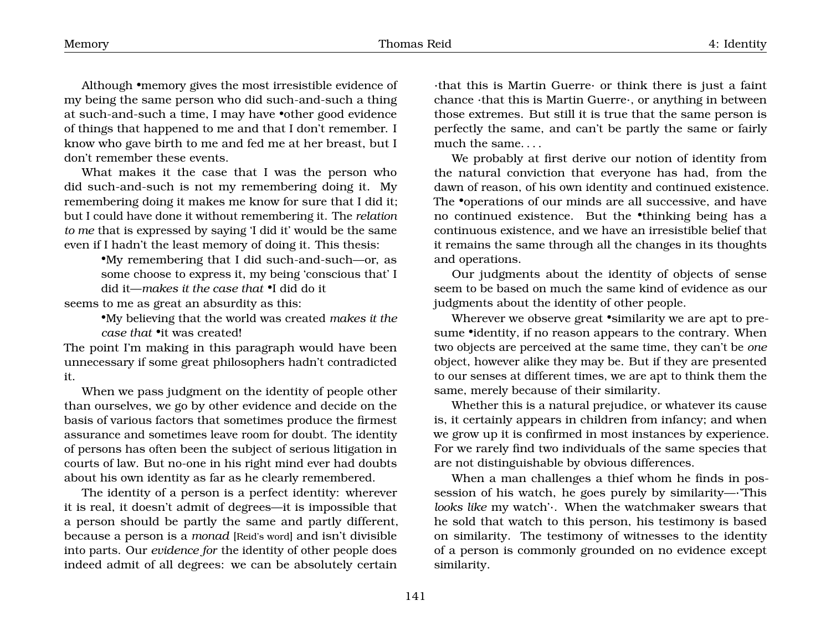Although •memory gives the most irresistible evidence of my being the same person who did such-and-such a thing at such-and-such a time, I may have •other good evidence of things that happened to me and that I don't remember. I know who gave birth to me and fed me at her breast, but I don't remember these events.

What makes it the case that I was the person who did such-and-such is not my remembering doing it. My remembering doing it makes me know for sure that I did it; but I could have done it without remembering it. The *relation to me* that is expressed by saying 'I did it' would be the same even if I hadn't the least memory of doing it. This thesis:

> •My remembering that I did such-and-such—or, as some choose to express it, my being 'conscious that' I did it—*makes it the case that* •I did do it

seems to me as great an absurdity as this:

•My believing that the world was created *makes it the case that* •it was created!

The point I'm making in this paragraph would have been unnecessary if some great philosophers hadn't contradicted it.

When we pass judgment on the identity of people other than ourselves, we go by other evidence and decide on the basis of various factors that sometimes produce the firmest assurance and sometimes leave room for doubt. The identity of persons has often been the subject of serious litigation in courts of law. But no-one in his right mind ever had doubts about his own identity as far as he clearly remembered.

The identity of a person is a perfect identity: wherever it is real, it doesn't admit of degrees—it is impossible that a person should be partly the same and partly different, because a person is a *monad* [Reid's word] and isn't divisible into parts. Our *evidence for* the identity of other people does indeed admit of all degrees: we can be absolutely certain ·that this is Martin Guerre· or think there is just a faint chance ·that this is Martin Guerre·, or anything in between those extremes. But still it is true that the same person is perfectly the same, and can't be partly the same or fairly much the same. . . .

We probably at first derive our notion of identity from the natural conviction that everyone has had, from the dawn of reason, of his own identity and continued existence. The •operations of our minds are all successive, and have no continued existence. But the •thinking being has a continuous existence, and we have an irresistible belief that it remains the same through all the changes in its thoughts and operations.

Our judgments about the identity of objects of sense seem to be based on much the same kind of evidence as our judgments about the identity of other people.

Wherever we observe great •similarity we are apt to presume •identity, if no reason appears to the contrary. When two objects are perceived at the same time, they can't be *one* object, however alike they may be. But if they are presented to our senses at different times, we are apt to think them the same, merely because of their similarity.

Whether this is a natural prejudice, or whatever its cause is, it certainly appears in children from infancy; and when we grow up it is confirmed in most instances by experience. For we rarely find two individuals of the same species that are not distinguishable by obvious differences.

When a man challenges a thief whom he finds in possession of his watch, he goes purely by similarity—·'This *looks like* my watch'·. When the watchmaker swears that he sold that watch to this person, his testimony is based on similarity. The testimony of witnesses to the identity of a person is commonly grounded on no evidence except similarity.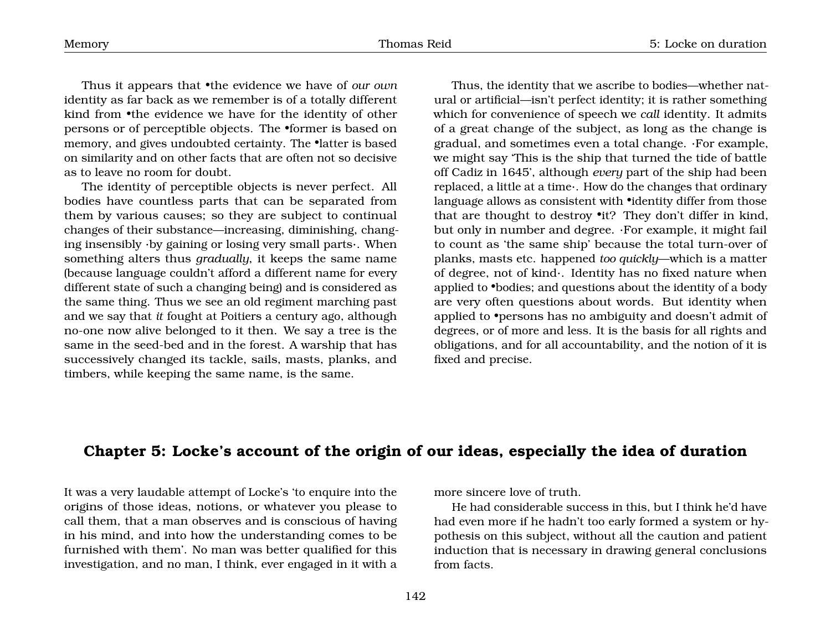Thus it appears that •the evidence we have of *our own* identity as far back as we remember is of a totally different kind from •the evidence we have for the identity of other persons or of perceptible objects. The •former is based on memory, and gives undoubted certainty. The •latter is based on similarity and on other facts that are often not so decisive as to leave no room for doubt.

The identity of perceptible objects is never perfect. All bodies have countless parts that can be separated from them by various causes; so they are subject to continual changes of their substance—increasing, diminishing, changing insensibly ·by gaining or losing very small parts·. When something alters thus *gradually*, it keeps the same name (because language couldn't afford a different name for every different state of such a changing being) and is considered as the same thing. Thus we see an old regiment marching past and we say that *it* fought at Poitiers a century ago, although no-one now alive belonged to it then. We say a tree is the same in the seed-bed and in the forest. A warship that has successively changed its tackle, sails, masts, planks, and timbers, while keeping the same name, is the same.

Thus, the identity that we ascribe to bodies—whether natural or artificial—isn't perfect identity; it is rather something which for convenience of speech we *call* identity. It admits of a great change of the subject, as long as the change is gradual, and sometimes even a total change. ·For example, we might say 'This is the ship that turned the tide of battle off Cadiz in 1645', although *every* part of the ship had been replaced, a little at a time·. How do the changes that ordinary language allows as consistent with •identity differ from those that are thought to destroy •it? They don't differ in kind, but only in number and degree. ·For example, it might fail to count as 'the same ship' because the total turn-over of planks, masts etc. happened *too quickly*—which is a matter of degree, not of kind·. Identity has no fixed nature when applied to •bodies; and questions about the identity of a body are very often questions about words. But identity when applied to •persons has no ambiguity and doesn't admit of degrees, or of more and less. It is the basis for all rights and obligations, and for all accountability, and the notion of it is fixed and precise.

#### <span id="page-10-0"></span>**Chapter 5: Locke's account of the origin of our ideas, especially the idea of duration**

It was a very laudable attempt of Locke's 'to enquire into the origins of those ideas, notions, or whatever you please to call them, that a man observes and is conscious of having in his mind, and into how the understanding comes to be furnished with them'. No man was better qualified for this investigation, and no man, I think, ever engaged in it with a more sincere love of truth.

He had considerable success in this, but I think he'd have had even more if he hadn't too early formed a system or hypothesis on this subject, without all the caution and patient induction that is necessary in drawing general conclusions from facts.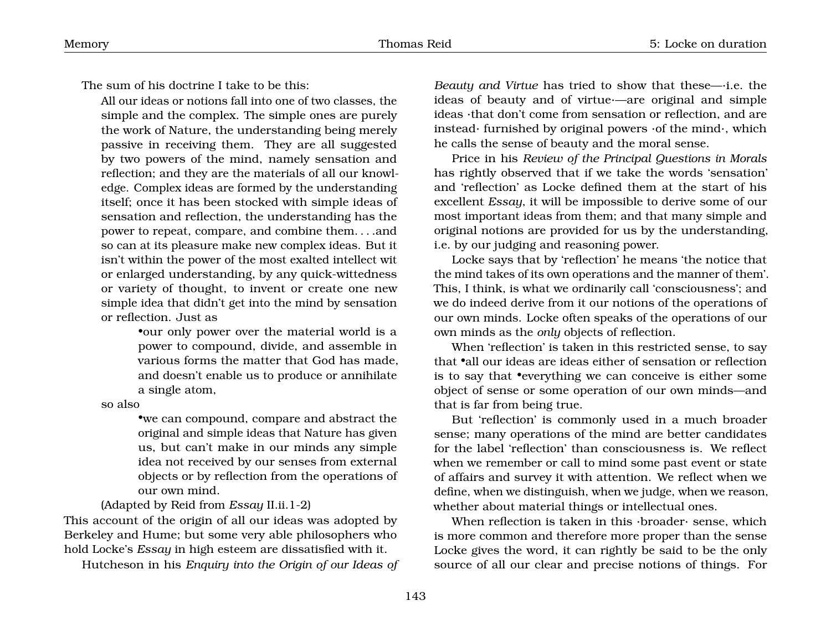The sum of his doctrine I take to be this:

All our ideas or notions fall into one of two classes, the simple and the complex. The simple ones are purely the work of Nature, the understanding being merely passive in receiving them. They are all suggested by two powers of the mind, namely sensation and reflection; and they are the materials of all our knowledge. Complex ideas are formed by the understanding itself; once it has been stocked with simple ideas of sensation and reflection, the understanding has the power to repeat, compare, and combine them. . . .and so can at its pleasure make new complex ideas. But it isn't within the power of the most exalted intellect wit or enlarged understanding, by any quick-wittedness or variety of thought, to invent or create one new simple idea that didn't get into the mind by sensation or reflection. Just as

> •our only power over the material world is a power to compound, divide, and assemble in various forms the matter that God has made, and doesn't enable us to produce or annihilate a single atom,

so also

•we can compound, compare and abstract the original and simple ideas that Nature has given us, but can't make in our minds any simple idea not received by our senses from external objects or by reflection from the operations of our own mind.

(Adapted by Reid from *Essay* II.ii.1-2)

This account of the origin of all our ideas was adopted by Berkeley and Hume; but some very able philosophers who hold Locke's *Essay* in high esteem are dissatisfied with it.

Hutcheson in his *Enquiry into the Origin of our Ideas of*

*Beauty and Virtue* has tried to show that these—·i.e. the ideas of beauty and of virtue·—are original and simple ideas ·that don't come from sensation or reflection, and are instead· furnished by original powers ·of the mind·, which he calls the sense of beauty and the moral sense.

Price in his *Review of the Principal Questions in Morals* has rightly observed that if we take the words 'sensation' and 'reflection' as Locke defined them at the start of his excellent *Essay*, it will be impossible to derive some of our most important ideas from them; and that many simple and original notions are provided for us by the understanding, i.e. by our judging and reasoning power.

Locke says that by 'reflection' he means 'the notice that the mind takes of its own operations and the manner of them'. This, I think, is what we ordinarily call 'consciousness'; and we do indeed derive from it our notions of the operations of our own minds. Locke often speaks of the operations of our own minds as the *only* objects of reflection.

When 'reflection' is taken in this restricted sense, to say that •all our ideas are ideas either of sensation or reflection is to say that •everything we can conceive is either some object of sense or some operation of our own minds—and that is far from being true.

But 'reflection' is commonly used in a much broader sense; many operations of the mind are better candidates for the label 'reflection' than consciousness is. We reflect when we remember or call to mind some past event or state of affairs and survey it with attention. We reflect when we define, when we distinguish, when we judge, when we reason, whether about material things or intellectual ones.

When reflection is taken in this ·broader· sense, which is more common and therefore more proper than the sense Locke gives the word, it can rightly be said to be the only source of all our clear and precise notions of things. For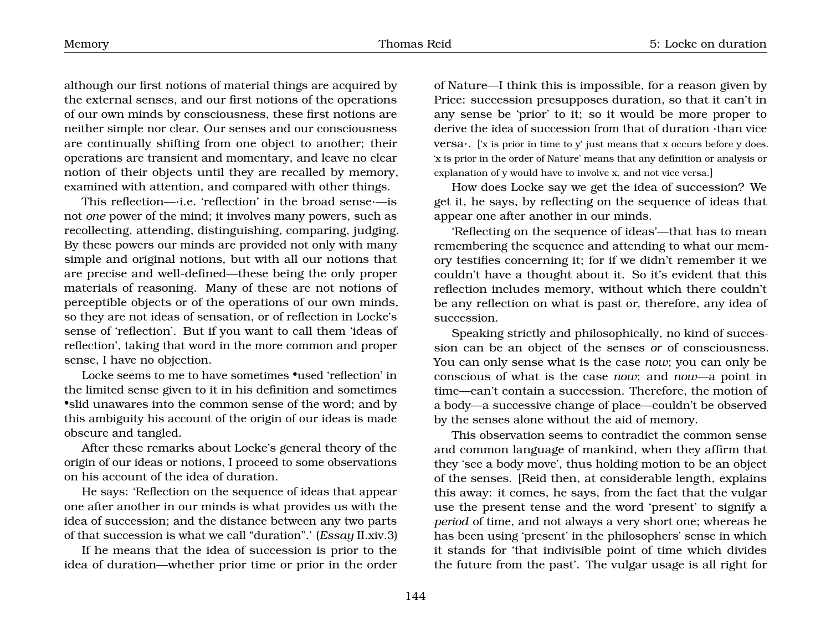although our first notions of material things are acquired by the external senses, and our first notions of the operations of our own minds by consciousness, these first notions are neither simple nor clear. Our senses and our consciousness are continually shifting from one object to another; their operations are transient and momentary, and leave no clear notion of their objects until they are recalled by memory, examined with attention, and compared with other things.

This reflection—·i.e. 'reflection' in the broad sense·—is not *one* power of the mind; it involves many powers, such as recollecting, attending, distinguishing, comparing, judging. By these powers our minds are provided not only with many simple and original notions, but with all our notions that are precise and well-defined—these being the only proper materials of reasoning. Many of these are not notions of perceptible objects or of the operations of our own minds, so they are not ideas of sensation, or of reflection in Locke's sense of 'reflection'. But if you want to call them 'ideas of reflection', taking that word in the more common and proper sense, I have no objection.

Locke seems to me to have sometimes •used 'reflection' in the limited sense given to it in his definition and sometimes •slid unawares into the common sense of the word; and by this ambiguity his account of the origin of our ideas is made obscure and tangled.

After these remarks about Locke's general theory of the origin of our ideas or notions, I proceed to some observations on his account of the idea of duration.

He says: 'Reflection on the sequence of ideas that appear one after another in our minds is what provides us with the idea of succession; and the distance between any two parts of that succession is what we call "duration".' (*Essay* II.xiv.3)

If he means that the idea of succession is prior to the idea of duration—whether prior time or prior in the order of Nature—I think this is impossible, for a reason given by Price: succession presupposes duration, so that it can't in any sense be 'prior' to it; so it would be more proper to derive the idea of succession from that of duration ·than vice versa $\cdot$ . ['x is prior in time to y' just means that x occurs before y does. 'x is prior in the order of Nature' means that any definition or analysis or explanation of y would have to involve x, and not vice versa.]

How does Locke say we get the idea of succession? We get it, he says, by reflecting on the sequence of ideas that appear one after another in our minds.

'Reflecting on the sequence of ideas'—that has to mean remembering the sequence and attending to what our memory testifies concerning it; for if we didn't remember it we couldn't have a thought about it. So it's evident that this reflection includes memory, without which there couldn't be any reflection on what is past or, therefore, any idea of succession.

Speaking strictly and philosophically, no kind of succession can be an object of the senses *or* of consciousness. You can only sense what is the case *now*; you can only be conscious of what is the case *now*; and *now*—a point in time—can't contain a succession. Therefore, the motion of a body—a successive change of place—couldn't be observed by the senses alone without the aid of memory.

This observation seems to contradict the common sense and common language of mankind, when they affirm that they 'see a body move', thus holding motion to be an object of the senses. [Reid then, at considerable length, explains this away: it comes, he says, from the fact that the vulgar use the present tense and the word 'present' to signify a *period* of time, and not always a very short one; whereas he has been using 'present' in the philosophers' sense in which it stands for 'that indivisible point of time which divides the future from the past'. The vulgar usage is all right for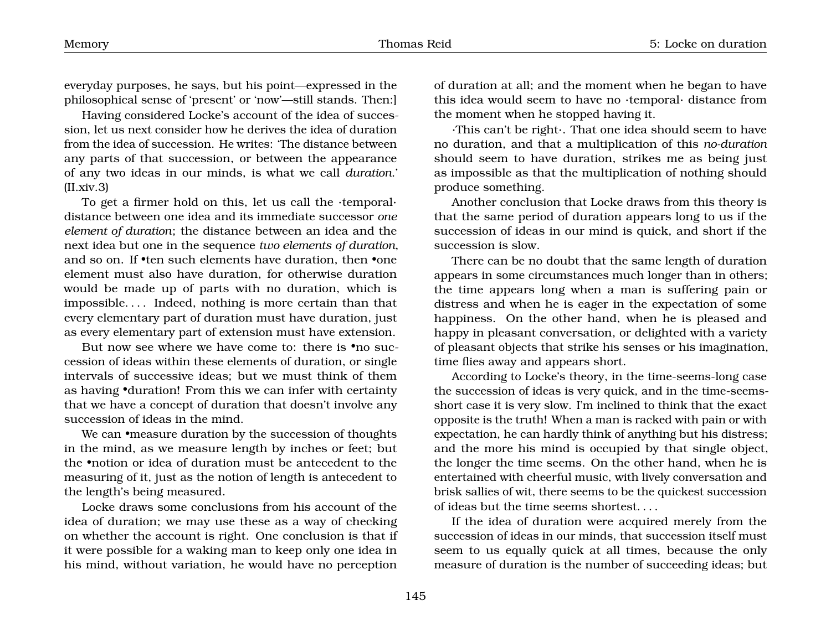everyday purposes, he says, but his point—expressed in the philosophical sense of 'present' or 'now'—still stands. Then:]

Having considered Locke's account of the idea of succession, let us next consider how he derives the idea of duration from the idea of succession. He writes: 'The distance between any parts of that succession, or between the appearance of any two ideas in our minds, is what we call *duration*.'  $(II.xiv.3)$ 

To get a firmer hold on this, let us call the ·temporal· distance between one idea and its immediate successor *one element of duration*; the distance between an idea and the next idea but one in the sequence *two elements of duration*, and so on. If •ten such elements have duration, then •one element must also have duration, for otherwise duration would be made up of parts with no duration, which is impossible. . . . Indeed, nothing is more certain than that every elementary part of duration must have duration, just as every elementary part of extension must have extension.

But now see where we have come to: there is •no succession of ideas within these elements of duration, or single intervals of successive ideas; but we must think of them as having •duration! From this we can infer with certainty that we have a concept of duration that doesn't involve any succession of ideas in the mind.

We can •measure duration by the succession of thoughts in the mind, as we measure length by inches or feet; but the •notion or idea of duration must be antecedent to the measuring of it, just as the notion of length is antecedent to the length's being measured.

Locke draws some conclusions from his account of the idea of duration; we may use these as a way of checking on whether the account is right. One conclusion is that if it were possible for a waking man to keep only one idea in his mind, without variation, he would have no perception of duration at all; and the moment when he began to have this idea would seem to have no ·temporal· distance from the moment when he stopped having it.

·This can't be right·. That one idea should seem to have no duration, and that a multiplication of this *no-duration* should seem to have duration, strikes me as being just as impossible as that the multiplication of nothing should produce something.

Another conclusion that Locke draws from this theory is that the same period of duration appears long to us if the succession of ideas in our mind is quick, and short if the succession is slow.

There can be no doubt that the same length of duration appears in some circumstances much longer than in others; the time appears long when a man is suffering pain or distress and when he is eager in the expectation of some happiness. On the other hand, when he is pleased and happy in pleasant conversation, or delighted with a variety of pleasant objects that strike his senses or his imagination, time flies away and appears short.

According to Locke's theory, in the time-seems-long case the succession of ideas is very quick, and in the time-seemsshort case it is very slow. I'm inclined to think that the exact opposite is the truth! When a man is racked with pain or with expectation, he can hardly think of anything but his distress; and the more his mind is occupied by that single object, the longer the time seems. On the other hand, when he is entertained with cheerful music, with lively conversation and brisk sallies of wit, there seems to be the quickest succession of ideas but the time seems shortest. . . .

If the idea of duration were acquired merely from the succession of ideas in our minds, that succession itself must seem to us equally quick at all times, because the only measure of duration is the number of succeeding ideas; but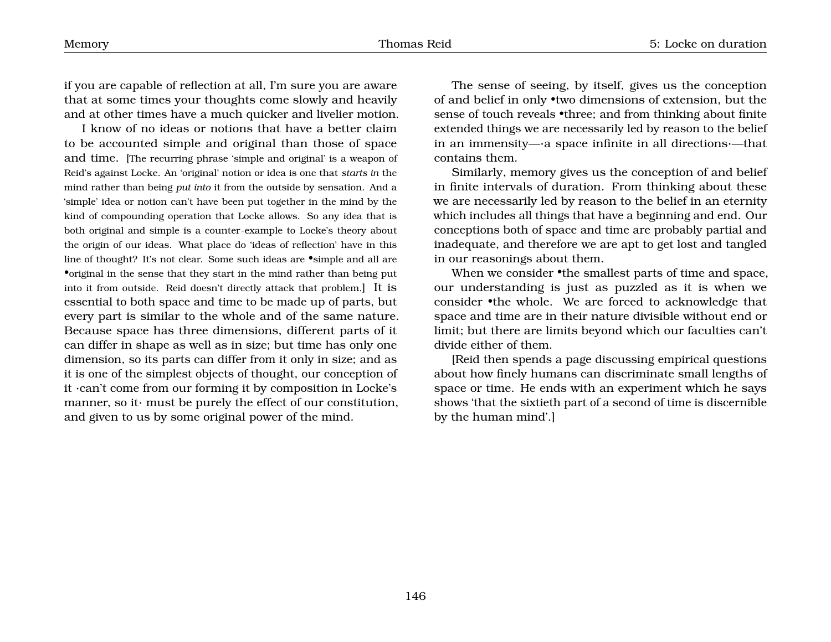if you are capable of reflection at all, I'm sure you are aware that at some times your thoughts come slowly and heavily and at other times have a much quicker and livelier motion.

I know of no ideas or notions that have a better claim to be accounted simple and original than those of space and time. [The recurring phrase 'simple and original' is a weapon of Reid's against Locke. An 'original' notion or idea is one that *starts in* the mind rather than being *put into* it from the outside by sensation. And a 'simple' idea or notion can't have been put together in the mind by the kind of compounding operation that Locke allows. So any idea that is both original and simple is a counter-example to Locke's theory about the origin of our ideas. What place do 'ideas of reflection' have in this line of thought? It's not clear. Some such ideas are •simple and all are •original in the sense that they start in the mind rather than being put into it from outside. Reid doesn't directly attack that problem.] It is essential to both space and time to be made up of parts, but every part is similar to the whole and of the same nature. Because space has three dimensions, different parts of it can differ in shape as well as in size; but time has only one dimension, so its parts can differ from it only in size; and as it is one of the simplest objects of thought, our conception of it ·can't come from our forming it by composition in Locke's manner, so it· must be purely the effect of our constitution, and given to us by some original power of the mind.

The sense of seeing, by itself, gives us the conception of and belief in only •two dimensions of extension, but the sense of touch reveals •three; and from thinking about finite extended things we are necessarily led by reason to the belief in an immensity—·a space infinite in all directions·—that contains them.

Similarly, memory gives us the conception of and belief in finite intervals of duration. From thinking about these we are necessarily led by reason to the belief in an eternity which includes all things that have a beginning and end. Our conceptions both of space and time are probably partial and inadequate, and therefore we are apt to get lost and tangled in our reasonings about them.

When we consider •the smallest parts of time and space, our understanding is just as puzzled as it is when we consider •the whole. We are forced to acknowledge that space and time are in their nature divisible without end or limit; but there are limits beyond which our faculties can't divide either of them.

[Reid then spends a page discussing empirical questions about how finely humans can discriminate small lengths of space or time. He ends with an experiment which he says shows 'that the sixtieth part of a second of time is discernible by the human mind'.]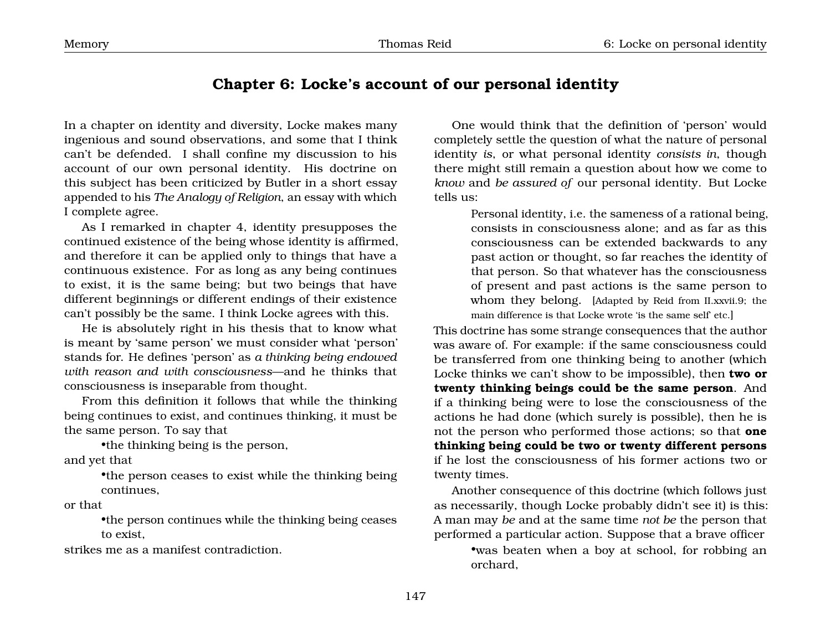### <span id="page-15-0"></span>**Chapter 6: Locke's account of our personal identity**

In a chapter on identity and diversity, Locke makes many ingenious and sound observations, and some that I think can't be defended. I shall confine my discussion to his account of our own personal identity. His doctrine on this subject has been criticized by Butler in a short essay appended to his *The Analogy of Religion*, an essay with which I complete agree.

As I remarked in chapter 4, identity presupposes the continued existence of the being whose identity is affirmed, and therefore it can be applied only to things that have a continuous existence. For as long as any being continues to exist, it is the same being; but two beings that have different beginnings or different endings of their existence can't possibly be the same. I think Locke agrees with this.

He is absolutely right in his thesis that to know what is meant by 'same person' we must consider what 'person' stands for. He defines 'person' as *a thinking being endowed with reason and with consciousness*—and he thinks that consciousness is inseparable from thought.

From this definition it follows that while the thinking being continues to exist, and continues thinking, it must be the same person. To say that

•the thinking being is the person, and yet that

> •the person ceases to exist while the thinking being continues,

or that

•the person continues while the thinking being ceases to exist,

strikes me as a manifest contradiction.

One would think that the definition of 'person' would completely settle the question of what the nature of personal identity *is*, or what personal identity *consists in*, though there might still remain a question about how we come to *know* and *be assured of* our personal identity. But Locke tells us:

> Personal identity, i.e. the sameness of a rational being, consists in consciousness alone; and as far as this consciousness can be extended backwards to any past action or thought, so far reaches the identity of that person. So that whatever has the consciousness of present and past actions is the same person to whom they belong. [Adapted by Reid from II.xxvii.9; the main difference is that Locke wrote 'is the same self' etc.

This doctrine has some strange consequences that the author was aware of. For example: if the same consciousness could be transferred from one thinking being to another (which Locke thinks we can't show to be impossible), then **two or twenty thinking beings could be the same person**. And if a thinking being were to lose the consciousness of the actions he had done (which surely is possible), then he is not the person who performed those actions; so that **one thinking being could be two or twenty different persons** if he lost the consciousness of his former actions two or twenty times.

Another consequence of this doctrine (which follows just as necessarily, though Locke probably didn't see it) is this: A man may *be* and at the same time *not be* the person that performed a particular action. Suppose that a brave officer

•was beaten when a boy at school, for robbing an orchard,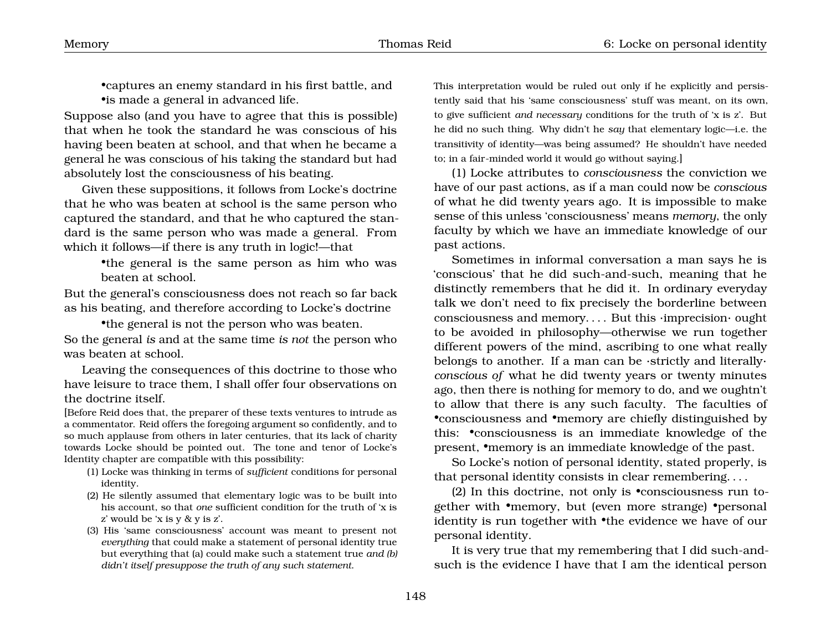•captures an enemy standard in his first battle, and •is made a general in advanced life.

Suppose also (and you have to agree that this is possible) that when he took the standard he was conscious of his having been beaten at school, and that when he became a general he was conscious of his taking the standard but had absolutely lost the consciousness of his beating.

Given these suppositions, it follows from Locke's doctrine that he who was beaten at school is the same person who captured the standard, and that he who captured the standard is the same person who was made a general. From which it follows—if there is any truth in logic!—that

> •the general is the same person as him who was beaten at school.

But the general's consciousness does not reach so far back as his beating, and therefore according to Locke's doctrine

•the general is not the person who was beaten.

So the general *is* and at the same time *is not* the person who was beaten at school.

Leaving the consequences of this doctrine to those who have leisure to trace them, I shall offer four observations on the doctrine itself.

[Before Reid does that, the preparer of these texts ventures to intrude as a commentator. Reid offers the foregoing argument so confidently, and to so much applause from others in later centuries, that its lack of charity towards Locke should be pointed out. The tone and tenor of Locke's Identity chapter are compatible with this possibility:

- (1) Locke was thinking in terms of *sufficient* conditions for personal identity.
- (2) He silently assumed that elementary logic was to be built into his account, so that *one* sufficient condition for the truth of 'x is z' would be 'x is y & y is z'.
- (3) His 'same consciousness' account was meant to present not *everything* that could make a statement of personal identity true but everything that (a) could make such a statement true *and (b) didn't itself presuppose the truth of any such statement*.

This interpretation would be ruled out only if he explicitly and persistently said that his 'same consciousness' stuff was meant, on its own, to give sufficient *and necessary* conditions for the truth of 'x is z'. But he did no such thing. Why didn't he *say* that elementary logic—i.e. the transitivity of identity—was being assumed? He shouldn't have needed to; in a fair-minded world it would go without saying.]

(1) Locke attributes to *consciousness* the conviction we have of our past actions, as if a man could now be *conscious* of what he did twenty years ago. It is impossible to make sense of this unless 'consciousness' means *memory*, the only faculty by which we have an immediate knowledge of our past actions.

Sometimes in informal conversation a man says he is 'conscious' that he did such-and-such, meaning that he distinctly remembers that he did it. In ordinary everyday talk we don't need to fix precisely the borderline between consciousness and memory. . . . But this ·imprecision· ought to be avoided in philosophy—otherwise we run together different powers of the mind, ascribing to one what really belongs to another. If a man can be ·strictly and literally· *conscious of* what he did twenty years or twenty minutes ago, then there is nothing for memory to do, and we oughtn't to allow that there is any such faculty. The faculties of •consciousness and •memory are chiefly distinguished by this: •consciousness is an immediate knowledge of the present, •memory is an immediate knowledge of the past.

So Locke's notion of personal identity, stated properly, is that personal identity consists in clear remembering. . . .

(2) In this doctrine, not only is •consciousness run together with •memory, but (even more strange) •personal identity is run together with •the evidence we have of our personal identity.

It is very true that my remembering that I did such-andsuch is the evidence I have that I am the identical person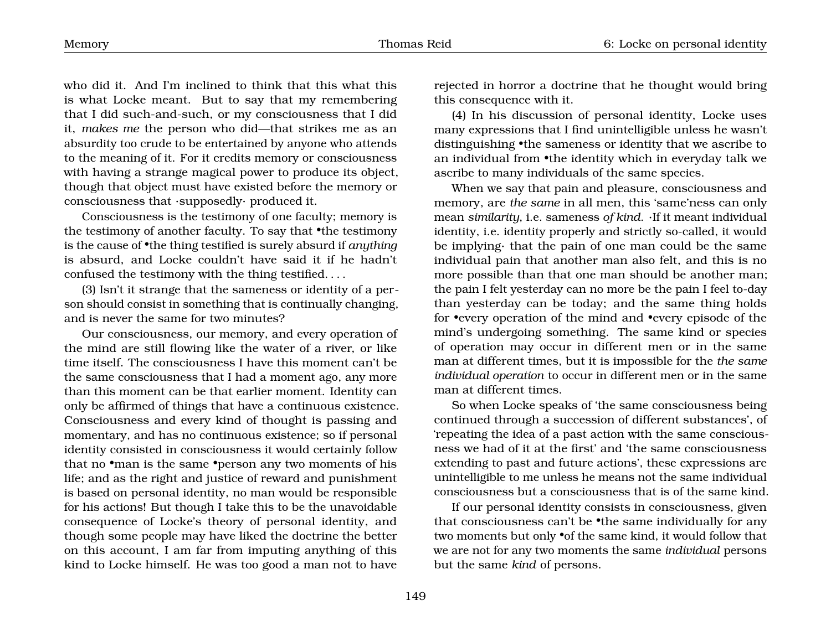who did it. And I'm inclined to think that this what this is what Locke meant. But to say that my remembering that I did such-and-such, or my consciousness that I did it, *makes me* the person who did—that strikes me as an absurdity too crude to be entertained by anyone who attends to the meaning of it. For it credits memory or consciousness with having a strange magical power to produce its object, though that object must have existed before the memory or consciousness that ·supposedly· produced it.

Consciousness is the testimony of one faculty; memory is the testimony of another faculty. To say that •the testimony is the cause of •the thing testified is surely absurd if *anything* is absurd, and Locke couldn't have said it if he hadn't confused the testimony with the thing testified. . . .

(3) Isn't it strange that the sameness or identity of a person should consist in something that is continually changing, and is never the same for two minutes?

Our consciousness, our memory, and every operation of the mind are still flowing like the water of a river, or like time itself. The consciousness I have this moment can't be the same consciousness that I had a moment ago, any more than this moment can be that earlier moment. Identity can only be affirmed of things that have a continuous existence. Consciousness and every kind of thought is passing and momentary, and has no continuous existence; so if personal identity consisted in consciousness it would certainly follow that no •man is the same •person any two moments of his life; and as the right and justice of reward and punishment is based on personal identity, no man would be responsible for his actions! But though I take this to be the unavoidable consequence of Locke's theory of personal identity, and though some people may have liked the doctrine the better on this account, I am far from imputing anything of this kind to Locke himself. He was too good a man not to have

rejected in horror a doctrine that he thought would bring this consequence with it.

(4) In his discussion of personal identity, Locke uses many expressions that I find unintelligible unless he wasn't distinguishing •the sameness or identity that we ascribe to an individual from •the identity which in everyday talk we ascribe to many individuals of the same species.

When we say that pain and pleasure, consciousness and memory, are *the same* in all men, this 'same'ness can only mean *similarity*, i.e. sameness *of kind*. ·If it meant individual identity, i.e. identity properly and strictly so-called, it would be implying· that the pain of one man could be the same individual pain that another man also felt, and this is no more possible than that one man should be another man; the pain I felt yesterday can no more be the pain I feel to-day than yesterday can be today; and the same thing holds for •every operation of the mind and •every episode of the mind's undergoing something. The same kind or species of operation may occur in different men or in the same man at different times, but it is impossible for the *the same individual operation* to occur in different men or in the same man at different times.

So when Locke speaks of 'the same consciousness being continued through a succession of different substances', of 'repeating the idea of a past action with the same consciousness we had of it at the first' and 'the same consciousness extending to past and future actions', these expressions are unintelligible to me unless he means not the same individual consciousness but a consciousness that is of the same kind.

If our personal identity consists in consciousness, given that consciousness can't be •the same individually for any two moments but only •of the same kind, it would follow that we are not for any two moments the same *individual* persons but the same *kind* of persons.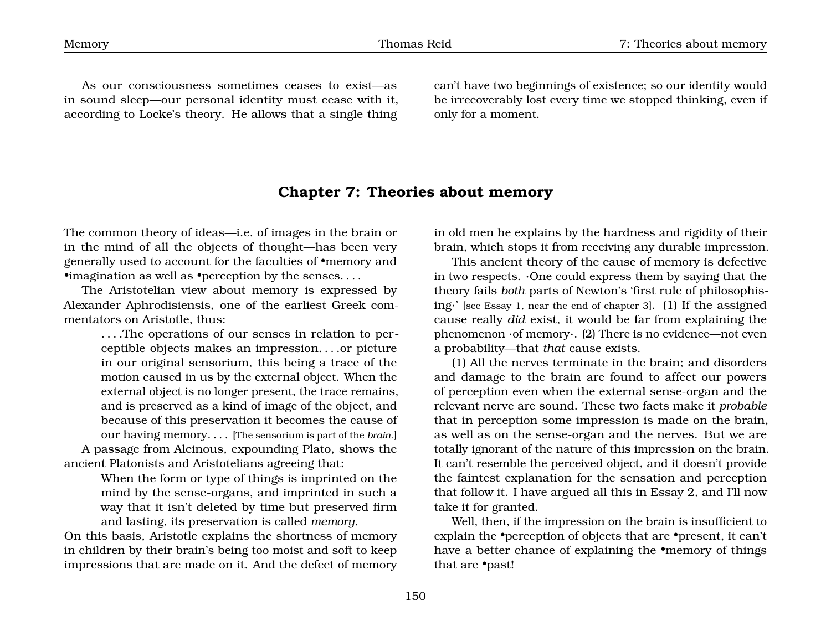As our consciousness sometimes ceases to exist—as in sound sleep—our personal identity must cease with it, according to Locke's theory. He allows that a single thing

can't have two beginnings of existence; so our identity would be irrecoverably lost every time we stopped thinking, even if only for a moment.

#### <span id="page-18-0"></span>**Chapter 7: Theories about memory**

The common theory of ideas—i.e. of images in the brain or in the mind of all the objects of thought—has been very generally used to account for the faculties of •memory and •imagination as well as •perception by the senses....

The Aristotelian view about memory is expressed by Alexander Aphrodisiensis, one of the earliest Greek commentators on Aristotle, thus:

. . . .The operations of our senses in relation to perceptible objects makes an impression. . . .or picture in our original sensorium, this being a trace of the motion caused in us by the external object. When the external object is no longer present, the trace remains, and is preserved as a kind of image of the object, and because of this preservation it becomes the cause of our having memory. . . . [The sensorium is part of the *brain*.] A passage from Alcinous, expounding Plato, shows the

ancient Platonists and Aristotelians agreeing that:

When the form or type of things is imprinted on the mind by the sense-organs, and imprinted in such a way that it isn't deleted by time but preserved firm and lasting, its preservation is called *memory*.

On this basis, Aristotle explains the shortness of memory in children by their brain's being too moist and soft to keep impressions that are made on it. And the defect of memory

in old men he explains by the hardness and rigidity of their brain, which stops it from receiving any durable impression.

This ancient theory of the cause of memory is defective in two respects. ·One could express them by saying that the theory fails *both* parts of Newton's 'first rule of philosophising·' [see Essay 1, near the end of chapter 3]. (1) If the assigned cause really *did* exist, it would be far from explaining the phenomenon ·of memory·. (2) There is no evidence—not even a probability—that *that* cause exists.

(1) All the nerves terminate in the brain; and disorders and damage to the brain are found to affect our powers of perception even when the external sense-organ and the relevant nerve are sound. These two facts make it *probable* that in perception some impression is made on the brain, as well as on the sense-organ and the nerves. But we are totally ignorant of the nature of this impression on the brain. It can't resemble the perceived object, and it doesn't provide the faintest explanation for the sensation and perception that follow it. I have argued all this in Essay 2, and I'll now take it for granted.

Well, then, if the impression on the brain is insufficient to explain the •perception of objects that are •present, it can't have a better chance of explaining the •memory of things that are •past!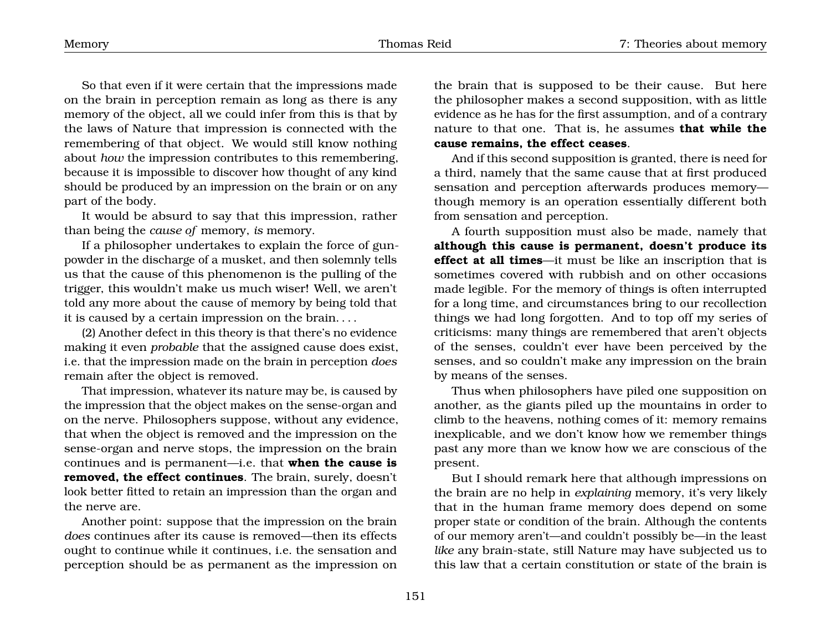So that even if it were certain that the impressions made on the brain in perception remain as long as there is any memory of the object, all we could infer from this is that by the laws of Nature that impression is connected with the remembering of that object. We would still know nothing about *how* the impression contributes to this remembering, because it is impossible to discover how thought of any kind should be produced by an impression on the brain or on any part of the body.

It would be absurd to say that this impression, rather than being the *cause of* memory, *is* memory.

If a philosopher undertakes to explain the force of gunpowder in the discharge of a musket, and then solemnly tells us that the cause of this phenomenon is the pulling of the trigger, this wouldn't make us much wiser! Well, we aren't told any more about the cause of memory by being told that it is caused by a certain impression on the brain. . . .

(2) Another defect in this theory is that there's no evidence making it even *probable* that the assigned cause does exist, i.e. that the impression made on the brain in perception *does* remain after the object is removed.

That impression, whatever its nature may be, is caused by the impression that the object makes on the sense-organ and on the nerve. Philosophers suppose, without any evidence, that when the object is removed and the impression on the sense-organ and nerve stops, the impression on the brain continues and is permanent—i.e. that **when the cause is removed, the effect continues**. The brain, surely, doesn't look better fitted to retain an impression than the organ and the nerve are.

Another point: suppose that the impression on the brain *does* continues after its cause is removed—then its effects ought to continue while it continues, i.e. the sensation and perception should be as permanent as the impression on the brain that is supposed to be their cause. But here the philosopher makes a second supposition, with as little evidence as he has for the first assumption, and of a contrary nature to that one. That is, he assumes **that while the cause remains, the effect ceases**.

And if this second supposition is granted, there is need for a third, namely that the same cause that at first produced sensation and perception afterwards produces memory though memory is an operation essentially different both from sensation and perception.

A fourth supposition must also be made, namely that **although this cause is permanent, doesn't produce its effect at all times**—it must be like an inscription that is sometimes covered with rubbish and on other occasions made legible. For the memory of things is often interrupted for a long time, and circumstances bring to our recollection things we had long forgotten. And to top off my series of criticisms: many things are remembered that aren't objects of the senses, couldn't ever have been perceived by the senses, and so couldn't make any impression on the brain by means of the senses.

Thus when philosophers have piled one supposition on another, as the giants piled up the mountains in order to climb to the heavens, nothing comes of it: memory remains inexplicable, and we don't know how we remember things past any more than we know how we are conscious of the present.

But I should remark here that although impressions on the brain are no help in *explaining* memory, it's very likely that in the human frame memory does depend on some proper state or condition of the brain. Although the contents of our memory aren't—and couldn't possibly be—in the least *like* any brain-state, still Nature may have subjected us to this law that a certain constitution or state of the brain is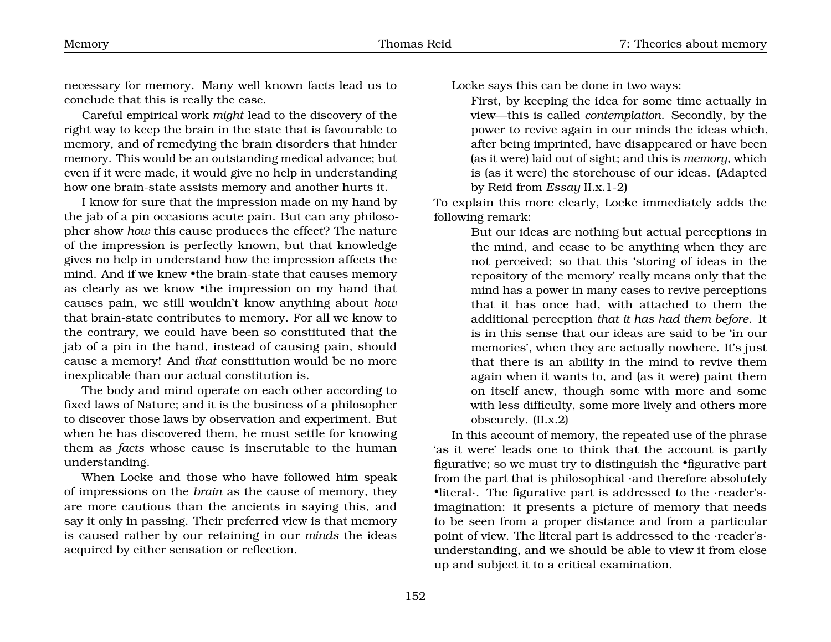necessary for memory. Many well known facts lead us to conclude that this is really the case.

Careful empirical work *might* lead to the discovery of the right way to keep the brain in the state that is favourable to memory, and of remedying the brain disorders that hinder memory. This would be an outstanding medical advance; but even if it were made, it would give no help in understanding how one brain-state assists memory and another hurts it.

I know for sure that the impression made on my hand by the jab of a pin occasions acute pain. But can any philosopher show *how* this cause produces the effect? The nature of the impression is perfectly known, but that knowledge gives no help in understand how the impression affects the mind. And if we knew •the brain-state that causes memory as clearly as we know •the impression on my hand that causes pain, we still wouldn't know anything about *how* that brain-state contributes to memory. For all we know to the contrary, we could have been so constituted that the jab of a pin in the hand, instead of causing pain, should cause a memory! And *that* constitution would be no more inexplicable than our actual constitution is.

The body and mind operate on each other according to fixed laws of Nature; and it is the business of a philosopher to discover those laws by observation and experiment. But when he has discovered them, he must settle for knowing them as *facts* whose cause is inscrutable to the human understanding.

When Locke and those who have followed him speak of impressions on the *brain* as the cause of memory, they are more cautious than the ancients in saying this, and say it only in passing. Their preferred view is that memory is caused rather by our retaining in our *minds* the ideas acquired by either sensation or reflection.

Locke says this can be done in two ways:

First, by keeping the idea for some time actually in view—this is called *contemplation*. Secondly, by the power to revive again in our minds the ideas which, after being imprinted, have disappeared or have been (as it were) laid out of sight; and this is *memory*, which is (as it were) the storehouse of our ideas. (Adapted by Reid from *Essay* II.x.1-2)

To explain this more clearly, Locke immediately adds the following remark:

> But our ideas are nothing but actual perceptions in the mind, and cease to be anything when they are not perceived; so that this 'storing of ideas in the repository of the memory' really means only that the mind has a power in many cases to revive perceptions that it has once had, with attached to them the additional perception *that it has had them before*. It is in this sense that our ideas are said to be 'in our memories', when they are actually nowhere. It's just that there is an ability in the mind to revive them again when it wants to, and (as it were) paint them on itself anew, though some with more and some with less difficulty, some more lively and others more obscurely. (II.x.2)

In this account of memory, the repeated use of the phrase 'as it were' leads one to think that the account is partly figurative; so we must try to distinguish the •figurative part from the part that is philosophical ·and therefore absolutely •literal·. The figurative part is addressed to the ·reader's· imagination: it presents a picture of memory that needs to be seen from a proper distance and from a particular point of view. The literal part is addressed to the ·reader's· understanding, and we should be able to view it from close up and subject it to a critical examination.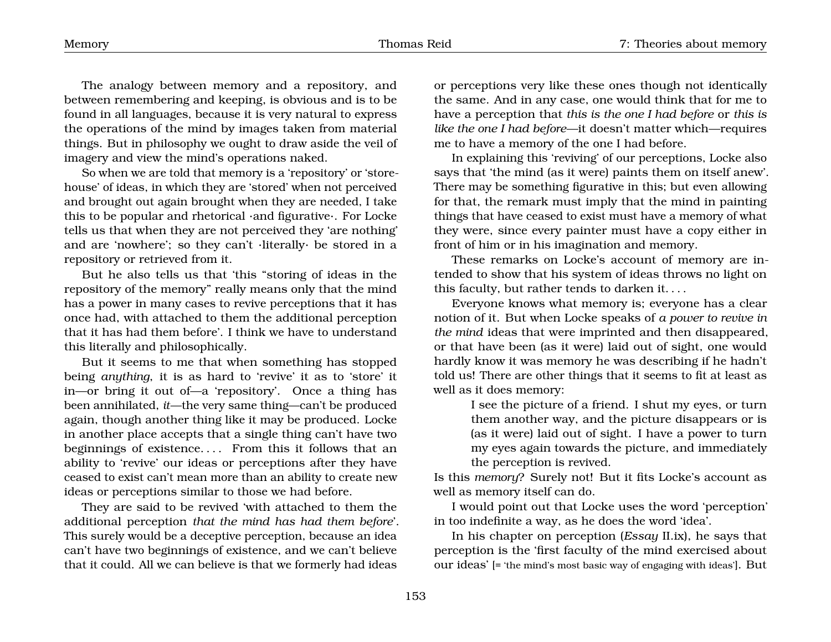The analogy between memory and a repository, and between remembering and keeping, is obvious and is to be found in all languages, because it is very natural to express the operations of the mind by images taken from material things. But in philosophy we ought to draw aside the veil of imagery and view the mind's operations naked.

So when we are told that memory is a 'repository' or 'storehouse' of ideas, in which they are 'stored' when not perceived and brought out again brought when they are needed, I take this to be popular and rhetorical ·and figurative·. For Locke tells us that when they are not perceived they 'are nothing' and are 'nowhere'; so they can't ·literally· be stored in a repository or retrieved from it.

But he also tells us that 'this "storing of ideas in the repository of the memory" really means only that the mind has a power in many cases to revive perceptions that it has once had, with attached to them the additional perception that it has had them before'. I think we have to understand this literally and philosophically.

But it seems to me that when something has stopped being *anything*, it is as hard to 'revive' it as to 'store' it in—or bring it out of—a 'repository'. Once a thing has been annihilated, *it*—the very same thing—can't be produced again, though another thing like it may be produced. Locke in another place accepts that a single thing can't have two beginnings of existence. . . . From this it follows that an ability to 'revive' our ideas or perceptions after they have ceased to exist can't mean more than an ability to create new ideas or perceptions similar to those we had before.

They are said to be revived 'with attached to them the additional perception *that the mind has had them before*'. This surely would be a deceptive perception, because an idea can't have two beginnings of existence, and we can't believe that it could. All we can believe is that we formerly had ideas

or perceptions very like these ones though not identically the same. And in any case, one would think that for me to have a perception that *this is the one I had before* or *this is like the one I had before*—it doesn't matter which—requires me to have a memory of the one I had before.

In explaining this 'reviving' of our perceptions, Locke also says that 'the mind (as it were) paints them on itself anew'. There may be something figurative in this; but even allowing for that, the remark must imply that the mind in painting things that have ceased to exist must have a memory of what they were, since every painter must have a copy either in front of him or in his imagination and memory.

These remarks on Locke's account of memory are intended to show that his system of ideas throws no light on this faculty, but rather tends to darken it. . . .

Everyone knows what memory is; everyone has a clear notion of it. But when Locke speaks of *a power to revive in the mind* ideas that were imprinted and then disappeared, or that have been (as it were) laid out of sight, one would hardly know it was memory he was describing if he hadn't told us! There are other things that it seems to fit at least as well as it does memory:

> I see the picture of a friend. I shut my eyes, or turn them another way, and the picture disappears or is (as it were) laid out of sight. I have a power to turn my eyes again towards the picture, and immediately the perception is revived.

Is this *memory*? Surely not! But it fits Locke's account as well as memory itself can do.

I would point out that Locke uses the word 'perception' in too indefinite a way, as he does the word 'idea'.

In his chapter on perception (*Essay* II.ix), he says that perception is the 'first faculty of the mind exercised about our ideas' [= 'the mind's most basic way of engaging with ideas']. But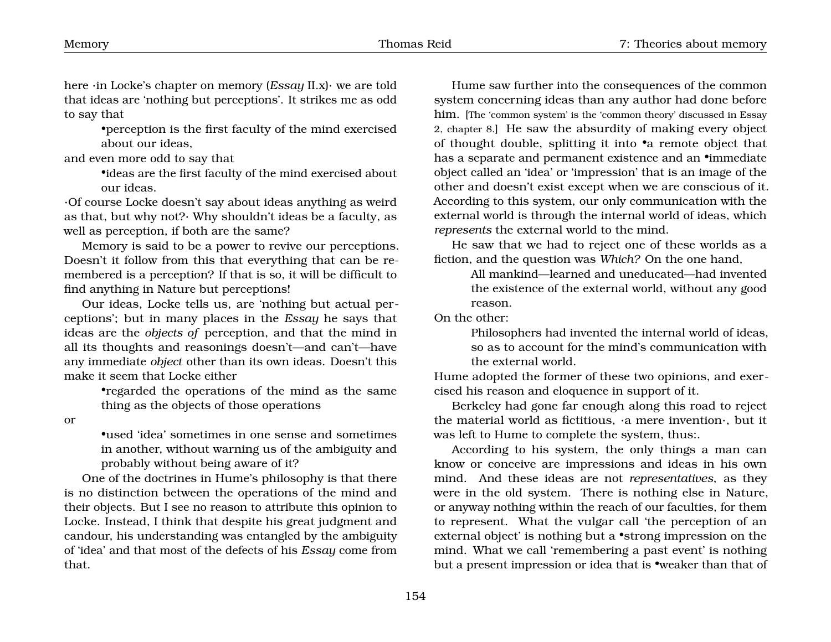here ·in Locke's chapter on memory (*Essay* II.x)· we are told that ideas are 'nothing but perceptions'. It strikes me as odd to say that

> •perception is the first faculty of the mind exercised about our ideas,

and even more odd to say that

•ideas are the first faculty of the mind exercised about our ideas.

·Of course Locke doesn't say about ideas anything as weird as that, but why not?· Why shouldn't ideas be a faculty, as well as perception, if both are the same?

Memory is said to be a power to revive our perceptions. Doesn't it follow from this that everything that can be remembered is a perception? If that is so, it will be difficult to find anything in Nature but perceptions!

Our ideas, Locke tells us, are 'nothing but actual perceptions'; but in many places in the *Essay* he says that ideas are the *objects of* perception, and that the mind in all its thoughts and reasonings doesn't—and can't—have any immediate *object* other than its own ideas. Doesn't this make it seem that Locke either

> •regarded the operations of the mind as the same thing as the objects of those operations

or

•used 'idea' sometimes in one sense and sometimes in another, without warning us of the ambiguity and probably without being aware of it?

One of the doctrines in Hume's philosophy is that there is no distinction between the operations of the mind and their objects. But I see no reason to attribute this opinion to Locke. Instead, I think that despite his great judgment and candour, his understanding was entangled by the ambiguity of 'idea' and that most of the defects of his *Essay* come from that.

Hume saw further into the consequences of the common system concerning ideas than any author had done before him. [The 'common system' is the 'common theory' discussed in Essay 2, chapter 8.] He saw the absurdity of making every object of thought double, splitting it into •a remote object that has a separate and permanent existence and an *•*immediate object called an 'idea' or 'impression' that is an image of the other and doesn't exist except when we are conscious of it. According to this system, our only communication with the external world is through the internal world of ideas, which *represents* the external world to the mind.

He saw that we had to reject one of these worlds as a fiction, and the question was *Which?* On the one hand,

> All mankind—learned and uneducated—had invented the existence of the external world, without any good reason.

On the other:

Philosophers had invented the internal world of ideas, so as to account for the mind's communication with the external world.

Hume adopted the former of these two opinions, and exercised his reason and eloquence in support of it.

Berkeley had gone far enough along this road to reject the material world as fictitious, ·a mere invention·, but it was left to Hume to complete the system, thus:.

According to his system, the only things a man can know or conceive are impressions and ideas in his own mind. And these ideas are not *representatives*, as they were in the old system. There is nothing else in Nature, or anyway nothing within the reach of our faculties, for them to represent. What the vulgar call 'the perception of an external object' is nothing but a •strong impression on the mind. What we call 'remembering a past event' is nothing but a present impression or idea that is •weaker than that of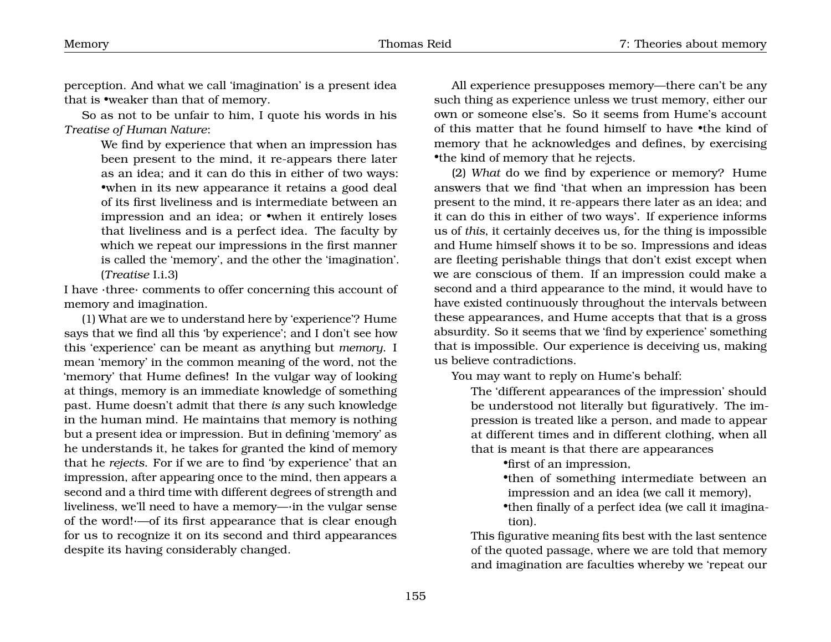perception. And what we call 'imagination' is a present idea that is •weaker than that of memory.

So as not to be unfair to him, I quote his words in his *Treatise of Human Nature*:

> We find by experience that when an impression has been present to the mind, it re-appears there later as an idea; and it can do this in either of two ways: •when in its new appearance it retains a good deal of its first liveliness and is intermediate between an impression and an idea; or •when it entirely loses that liveliness and is a perfect idea. The faculty by which we repeat our impressions in the first manner is called the 'memory', and the other the 'imagination'. (*Treatise* I.i.3)

I have ·three· comments to offer concerning this account of memory and imagination.

(1) What are we to understand here by 'experience'? Hume says that we find all this 'by experience'; and I don't see how this 'experience' can be meant as anything but *memory*. I mean 'memory' in the common meaning of the word, not the 'memory' that Hume defines! In the vulgar way of looking at things, memory is an immediate knowledge of something past. Hume doesn't admit that there *is* any such knowledge in the human mind. He maintains that memory is nothing but a present idea or impression. But in defining 'memory' as he understands it, he takes for granted the kind of memory that he *rejects*. For if we are to find 'by experience' that an impression, after appearing once to the mind, then appears a second and a third time with different degrees of strength and liveliness, we'll need to have a memory—·in the vulgar sense of the word!·—of its first appearance that is clear enough for us to recognize it on its second and third appearances despite its having considerably changed.

All experience presupposes memory—there can't be any such thing as experience unless we trust memory, either our own or someone else's. So it seems from Hume's account of this matter that he found himself to have •the kind of memory that he acknowledges and defines, by exercising •the kind of memory that he rejects.

(2) *What* do we find by experience or memory? Hume answers that we find 'that when an impression has been present to the mind, it re-appears there later as an idea; and it can do this in either of two ways'. If experience informs us of *this*, it certainly deceives us, for the thing is impossible and Hume himself shows it to be so. Impressions and ideas are fleeting perishable things that don't exist except when we are conscious of them. If an impression could make a second and a third appearance to the mind, it would have to have existed continuously throughout the intervals between these appearances, and Hume accepts that that is a gross absurdity. So it seems that we 'find by experience' something that is impossible. Our experience is deceiving us, making us believe contradictions.

You may want to reply on Hume's behalf:

The 'different appearances of the impression' should be understood not literally but figuratively. The impression is treated like a person, and made to appear at different times and in different clothing, when all that is meant is that there are appearances

•first of an impression,

•then of something intermediate between an impression and an idea (we call it memory),

•then finally of a perfect idea (we call it imagination).

This figurative meaning fits best with the last sentence of the quoted passage, where we are told that memory and imagination are faculties whereby we 'repeat our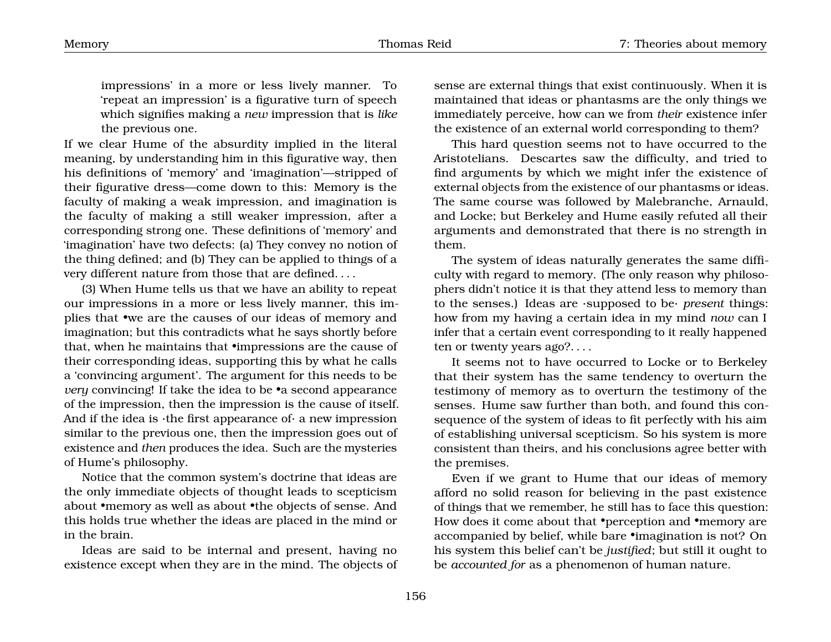the previous one. If we clear Hume of the absurdity implied in the literal meaning, by understanding him in this figurative way, then his definitions of 'memory' and 'imagination'—stripped of their figurative dress—come down to this: Memory is the faculty of making a weak impression, and imagination is the faculty of making a still weaker impression, after a corresponding strong one. These definitions of 'memory' and 'imagination' have two defects: (a) They convey no notion of the thing defined; and (b) They can be applied to things of a very different nature from those that are defined. . . .

(3) When Hume tells us that we have an ability to repeat our impressions in a more or less lively manner, this implies that •we are the causes of our ideas of memory and imagination; but this contradicts what he says shortly before that, when he maintains that •impressions are the cause of their corresponding ideas, supporting this by what he calls a 'convincing argument'. The argument for this needs to be *very* convincing! If take the idea to be •a second appearance of the impression, then the impression is the cause of itself. And if the idea is  $\cdot$ the first appearance of $\cdot$  a new impression similar to the previous one, then the impression goes out of existence and *then* produces the idea. Such are the mysteries of Hume's philosophy.

Notice that the common system's doctrine that ideas are the only immediate objects of thought leads to scepticism about •memory as well as about •the objects of sense. And this holds true whether the ideas are placed in the mind or in the brain.

Ideas are said to be internal and present, having no existence except when they are in the mind. The objects of

sense are external things that exist continuously. When it is maintained that ideas or phantasms are the only things we immediately perceive, how can we from *their* existence infer the existence of an external world corresponding to them?

This hard question seems not to have occurred to the Aristotelians. Descartes saw the difficulty, and tried to find arguments by which we might infer the existence of external objects from the existence of our phantasms or ideas. The same course was followed by Malebranche, Arnauld, and Locke; but Berkeley and Hume easily refuted all their arguments and demonstrated that there is no strength in them.

The system of ideas naturally generates the same difficulty with regard to memory. (The only reason why philosophers didn't notice it is that they attend less to memory than to the senses.) Ideas are ·supposed to be· *present* things: how from my having a certain idea in my mind *now* can I infer that a certain event corresponding to it really happened ten or twenty years ago?. . . .

It seems not to have occurred to Locke or to Berkeley that their system has the same tendency to overturn the testimony of memory as to overturn the testimony of the senses. Hume saw further than both, and found this consequence of the system of ideas to fit perfectly with his aim of establishing universal scepticism. So his system is more consistent than theirs, and his conclusions agree better with the premises.

Even if we grant to Hume that our ideas of memory afford no solid reason for believing in the past existence of things that we remember, he still has to face this question: How does it come about that •perception and •memory are accompanied by belief, while bare •imagination is not? On his system this belief can't be *justified*; but still it ought to be *accounted for* as a phenomenon of human nature.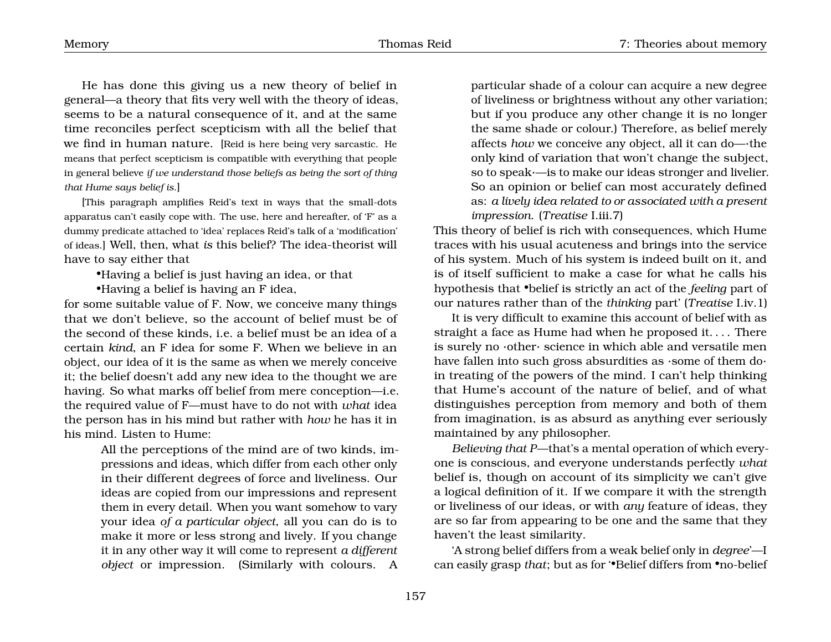He has done this giving us a new theory of belief in general—a theory that fits very well with the theory of ideas, seems to be a natural consequence of it, and at the same time reconciles perfect scepticism with all the belief that we find in human nature. [Reid is here being very sarcastic. He means that perfect scepticism is compatible with everything that people in general believe *if we understand those beliefs as being the sort of thing that Hume says belief is*.]

[This paragraph amplifies Reid's text in ways that the small-dots apparatus can't easily cope with. The use, here and hereafter, of 'F' as a dummy predicate attached to 'idea' replaces Reid's talk of a 'modification' of ideas.] Well, then, what *is* this belief? The idea-theorist will have to say either that

•Having a belief is just having an idea, or that

•Having a belief is having an F idea,

for some suitable value of F. Now, we conceive many things that we don't believe, so the account of belief must be of the second of these kinds, i.e. a belief must be an idea of a certain *kind*, an F idea for some F. When we believe in an object, our idea of it is the same as when we merely conceive it; the belief doesn't add any new idea to the thought we are having. So what marks off belief from mere conception—i.e. the required value of F—must have to do not with *what* idea the person has in his mind but rather with *how* he has it in his mind. Listen to Hume:

> All the perceptions of the mind are of two kinds, impressions and ideas, which differ from each other only in their different degrees of force and liveliness. Our ideas are copied from our impressions and represent them in every detail. When you want somehow to vary your idea *of a particular object*, all you can do is to make it more or less strong and lively. If you change it in any other way it will come to represent *a different object* or impression. (Similarly with colours. A

particular shade of a colour can acquire a new degree of liveliness or brightness without any other variation; but if you produce any other change it is no longer the same shade or colour.) Therefore, as belief merely affects *how* we conceive any object, all it can do—·the only kind of variation that won't change the subject, so to speak·—is to make our ideas stronger and livelier. So an opinion or belief can most accurately defined as: *a lively idea related to or associated with a present impression*. (*Treatise* I.iii.7)

This theory of belief is rich with consequences, which Hume traces with his usual acuteness and brings into the service of his system. Much of his system is indeed built on it, and is of itself sufficient to make a case for what he calls his hypothesis that •belief is strictly an act of the *feeling* part of our natures rather than of the *thinking* part' (*Treatise* I.iv.1)

It is very difficult to examine this account of belief with as straight a face as Hume had when he proposed it. . . . There is surely no ·other· science in which able and versatile men have fallen into such gross absurdities as ·some of them do· in treating of the powers of the mind. I can't help thinking that Hume's account of the nature of belief, and of what distinguishes perception from memory and both of them from imagination, is as absurd as anything ever seriously maintained by any philosopher.

*Believing that P*—that's a mental operation of which everyone is conscious, and everyone understands perfectly *what* belief is, though on account of its simplicity we can't give a logical definition of it. If we compare it with the strength or liveliness of our ideas, or with *any* feature of ideas, they are so far from appearing to be one and the same that they haven't the least similarity.

'A strong belief differs from a weak belief only in *degree*'—I can easily grasp *that*; but as for '•Belief differs from •no-belief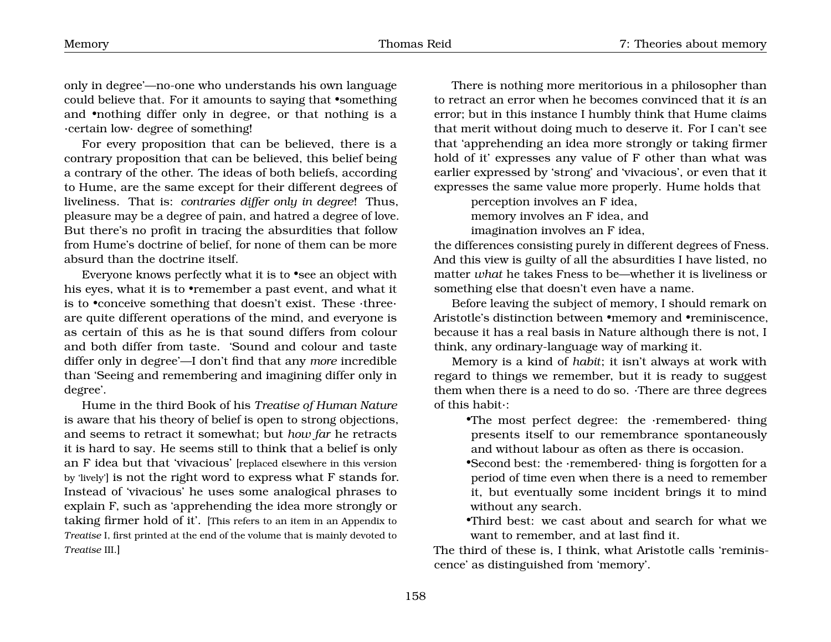only in degree'—no-one who understands his own language could believe that. For it amounts to saying that •something and •nothing differ only in degree, or that nothing is a ·certain low· degree of something!

For every proposition that can be believed, there is a contrary proposition that can be believed, this belief being a contrary of the other. The ideas of both beliefs, according to Hume, are the same except for their different degrees of liveliness. That is: *contraries differ only in degree*! Thus, pleasure may be a degree of pain, and hatred a degree of love. But there's no profit in tracing the absurdities that follow from Hume's doctrine of belief, for none of them can be more absurd than the doctrine itself.

Everyone knows perfectly what it is to •see an object with his eyes, what it is to •remember a past event, and what it is to •conceive something that doesn't exist. These ·three· are quite different operations of the mind, and everyone is as certain of this as he is that sound differs from colour and both differ from taste. 'Sound and colour and taste differ only in degree'—I don't find that any *more* incredible than 'Seeing and remembering and imagining differ only in degree'.

Hume in the third Book of his *Treatise of Human Nature* is aware that his theory of belief is open to strong objections, and seems to retract it somewhat; but *how far* he retracts it is hard to say. He seems still to think that a belief is only an F idea but that 'vivacious' [replaced elsewhere in this version by 'lively'] is not the right word to express what F stands for. Instead of 'vivacious' he uses some analogical phrases to explain F, such as 'apprehending the idea more strongly or taking firmer hold of it'. [This refers to an item in an Appendix to *Treatise* I, first printed at the end of the volume that is mainly devoted to *Treatise* III.]

There is nothing more meritorious in a philosopher than to retract an error when he becomes convinced that it *is* an error; but in this instance I humbly think that Hume claims that merit without doing much to deserve it. For I can't see that 'apprehending an idea more strongly or taking firmer hold of it' expresses any value of F other than what was earlier expressed by 'strong' and 'vivacious', or even that it expresses the same value more properly. Hume holds that

perception involves an F idea,

memory involves an F idea, and imagination involves an F idea,

the differences consisting purely in different degrees of Fness. And this view is guilty of all the absurdities I have listed, no matter *what* he takes Fness to be—whether it is liveliness or something else that doesn't even have a name.

Before leaving the subject of memory, I should remark on Aristotle's distinction between •memory and •reminiscence, because it has a real basis in Nature although there is not, I think, any ordinary-language way of marking it.

Memory is a kind of *habit*; it isn't always at work with regard to things we remember, but it is ready to suggest them when there is a need to do so. ·There are three degrees of this habit·:

- •The most perfect degree: the ·remembered· thing presents itself to our remembrance spontaneously and without labour as often as there is occasion.
- •Second best: the ·remembered· thing is forgotten for a period of time even when there is a need to remember it, but eventually some incident brings it to mind without any search.

•Third best: we cast about and search for what we want to remember, and at last find it.

The third of these is, I think, what Aristotle calls 'reminiscence' as distinguished from 'memory'.